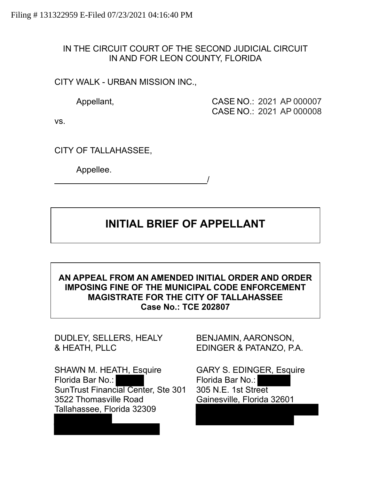#### IN THE CIRCUIT COURT OF THE SECOND JUDICIAL CIRCUIT IN AND FOR LEON COUNTY, FLORIDA

CITY WALK - URBAN MISSION INC.,

Appellant, CASE NO.: 2021 AP 000007 CASE NO.: 2021 AP 000008

vs.

CITY OF TALLAHASSEE,

Appellee.

# **INITIAL BRIEF OF APPELLANT**

/

**AN APPEAL FROM AN AMENDED INITIAL ORDER AND ORDER IMPOSING FINE OF THE MUNICIPAL CODE ENFORCEMENT MAGISTRATE FOR THE CITY OF TALLAHASSEE Case No.: TCE 202807** 

DUDLEY, SELLERS, HEALY BENJAMIN, AARONSON, & HEATH, PLLC EDINGER & PATANZO, P.A.

SHAWN M. HEATH, Esquire **GARY S. EDINGER, Esquire** Florida Bar No.: Florida Bar No.: SunTrust Financial Center, Ste 301 305 N.E. 1st Street Tallahassee, Florida 32309

Gainesville, Florida 32601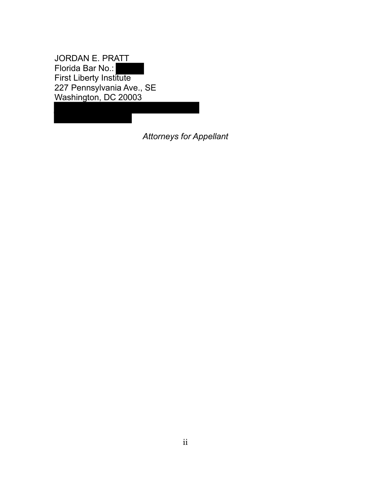JORDAN E. PRATT Florida Bar No.: First Liberty Institute 227 Pennsylvania Ave., SE Washington, DC 20003

*Attorneys for Appellant*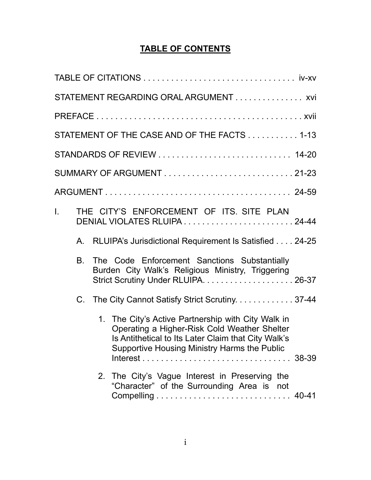## **TABLE OF CONTENTS**

|              |    | STATEMENT REGARDING ORAL ARGUMENT xvi                                                                                                                                                                     |       |
|--------------|----|-----------------------------------------------------------------------------------------------------------------------------------------------------------------------------------------------------------|-------|
|              |    |                                                                                                                                                                                                           |       |
|              |    | STATEMENT OF THE CASE AND OF THE FACTS 1-13                                                                                                                                                               |       |
|              |    |                                                                                                                                                                                                           |       |
|              |    |                                                                                                                                                                                                           |       |
|              |    |                                                                                                                                                                                                           |       |
| $\mathbf{L}$ |    | THE CITY'S ENFORCEMENT OF ITS. SITE PLAN                                                                                                                                                                  |       |
|              |    | A. RLUIPA's Jurisdictional Requirement Is Satisfied 24-25                                                                                                                                                 |       |
|              | Β. | The Code Enforcement Sanctions Substantially<br>Burden City Walk's Religious Ministry, Triggering                                                                                                         |       |
|              | C. | The City Cannot Satisfy Strict Scrutiny. 37-44                                                                                                                                                            |       |
|              |    | 1. The City's Active Partnership with City Walk in<br>Operating a Higher-Risk Cold Weather Shelter<br>Is Antithetical to Its Later Claim that City Walk's<br>Supportive Housing Ministry Harms the Public | 38-39 |
|              |    | 2. The City's Vague Interest in Preserving the<br>"Character" of the Surrounding Area is not                                                                                                              |       |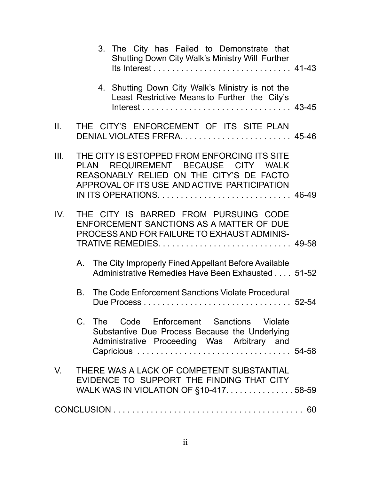|             |    | 3. The City has Failed to Demonstrate that<br><b>Shutting Down City Walk's Ministry Will Further</b>                                                                           |  |
|-------------|----|--------------------------------------------------------------------------------------------------------------------------------------------------------------------------------|--|
|             |    | 4. Shutting Down City Walk's Ministry is not the<br>Least Restrictive Means to Further the City's                                                                              |  |
| II.         |    | THE CITY'S ENFORCEMENT OF ITS SITE PLAN<br>DENIAL VIOLATES FRFRA 45-46                                                                                                         |  |
| III.        |    | THE CITY IS ESTOPPED FROM ENFORCING ITS SITE<br>PLAN REQUIREMENT BECAUSE CITY WALK<br>REASONABLY RELIED ON THE CITY'S DE FACTO<br>APPROVAL OF ITS USE AND ACTIVE PARTICIPATION |  |
| IV.         |    | THE CITY IS BARRED FROM PURSUING CODE<br>ENFORCEMENT SANCTIONS AS A MATTER OF DUE<br>PROCESS AND FOR FAILURE TO EXHAUST ADMINIS-<br>TRATIVE REMEDIES 49-58                     |  |
|             | A. | The City Improperly Fined Appellant Before Available<br>Administrative Remedies Have Been Exhausted 51-52                                                                      |  |
|             | Β. | The Code Enforcement Sanctions Violate Procedural                                                                                                                              |  |
|             |    | C. The Code Enforcement Sanctions Violate<br>Substantive Due Process Because the Underlying<br>Administrative Proceeding Was Arbitrary and<br>Capricious  54-58                |  |
| $V_{\cdot}$ |    | THERE WAS A LACK OF COMPETENT SUBSTANTIAL<br>EVIDENCE TO SUPPORT THE FINDING THAT CITY<br>WALK WAS IN VIOLATION OF §10-417. 58-59                                              |  |
|             |    |                                                                                                                                                                                |  |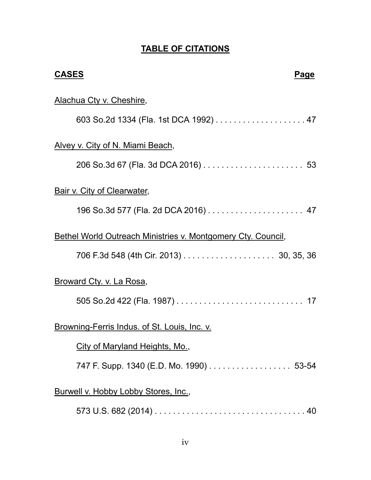## **TABLE OF CITATIONS**

| <b>CASES</b><br>Page                                         |  |
|--------------------------------------------------------------|--|
| Alachua Cty v. Cheshire,                                     |  |
|                                                              |  |
| Alvey v. City of N. Miami Beach,                             |  |
|                                                              |  |
| <u>Bair v. City of Clearwater,</u>                           |  |
|                                                              |  |
| Bethel World Outreach Ministries v. Montgomery Cty. Council, |  |
| 706 F.3d 548 (4th Cir. 2013) 30, 35, 36                      |  |
| <u>Broward Cty. v. La Rosa,</u>                              |  |
|                                                              |  |
| Browning-Ferris Indus. of St. Louis, Inc. v.                 |  |
| City of Maryland Heights, Mo.,                               |  |
| 747 F. Supp. 1340 (E.D. Mo. 1990) 53-54                      |  |
| Burwell v. Hobby Lobby Stores, Inc.,                         |  |
|                                                              |  |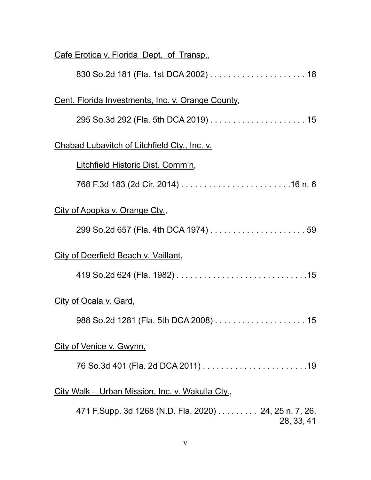# Cafe Erotica v. Florida Dept. of Transp., 830 So.2d 181 (Fla. 1st DCA 2002) . . . . . . . . . . . . . . . . . . . . . 18 Cent. Florida Investments, Inc. v. Orange County, 295 So.3d 292 (Fla. 5th DCA 2019) . . . . . . . . . . . . . . . . . . . . . 15 Chabad Lubavitch of Litchfield Cty., Inc. v. Litchfield Historic Dist. Comm'n, 768 F.3d 183 (2d Cir. 2014) . . . . . . . . . . . . . . . . . . . . . . . .16 n. 6 City of Apopka v. Orange Cty., 299 So.2d 657 (Fla. 4th DCA 1974) . . . . . . . . . . . . . . . . . . . . . 59 City of Deerfield Beach v. Vaillant, 419 So.2d 624 (Fla. 1982) . . . . . . . . . . . . . . . . . . . . . . . . . . . . .15 City of Ocala v. Gard, 988 So.2d 1281 (Fla. 5th DCA 2008) . . . . . . . . . . . . . . . . . . . . 15 City of Venice v. Gwynn, 76 So.3d 401 (Fla. 2d DCA 2011) . . . . . . . . . . . . . . . . . . . . . . .19 City Walk – Urban Mission, Inc. v. Wakulla Cty., 471 F.Supp. 3d 1268 (N.D. Fla. 2020) . . . . . . . . . 24, 25 n. 7, 26, 28, 33, 41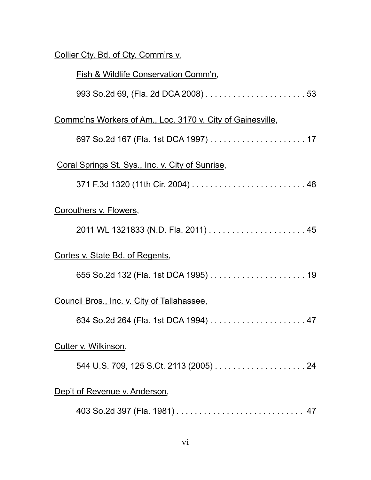## Collier Cty. Bd. of Cty. Comm'rs v.

| <b>Fish &amp; Wildlife Conservation Comm'n,</b>            |
|------------------------------------------------------------|
|                                                            |
| Commo'ns Workers of Am., Loc. 3170 v. City of Gainesville, |
|                                                            |
| Coral Springs St. Sys., Inc. v. City of Sunrise,           |
|                                                            |
| Corouthers v. Flowers,                                     |
|                                                            |
| <u>Cortes v. State Bd. of Regents,</u>                     |
|                                                            |
| Council Bros., Inc. v. City of Tallahassee,                |
|                                                            |
| Cutter v. Wilkinson,                                       |
|                                                            |
| Dep't of Revenue v. Anderson,                              |
|                                                            |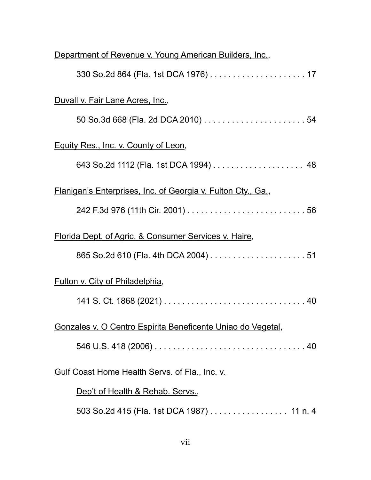| Department of Revenue v. Young American Builders, Inc.,      |
|--------------------------------------------------------------|
|                                                              |
| <b>Duvall v. Fair Lane Acres, Inc.,</b>                      |
|                                                              |
| <b>Equity Res., Inc. v. County of Leon,</b>                  |
|                                                              |
| Flanigan's Enterprises, Inc. of Georgia v. Fulton Cty., Ga., |
|                                                              |
| Florida Dept. of Agric. & Consumer Services v. Haire,        |
|                                                              |
| <b>Fulton v. City of Philadelphia,</b>                       |
|                                                              |
| Gonzales v. O Centro Espirita Beneficente Uniao do Vegetal,  |
|                                                              |
| <b>Gulf Coast Home Health Servs. of Fla., Inc. v.</b>        |
| Dep't of Health & Rehab. Servs.,                             |
| 503 So.2d 415 (Fla. 1st DCA 1987) 11 n. 4                    |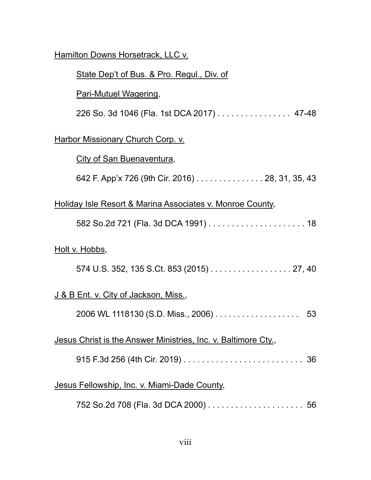# Hamilton Downs Horsetrack, LLC v.

| State Dep't of Bus. & Pro. Regul., Div. of                     |
|----------------------------------------------------------------|
| <b>Pari-Mutuel Wagering,</b>                                   |
| 226 So. 3d 1046 (Fla. 1st DCA 2017) 47-48                      |
| <b>Harbor Missionary Church Corp. v.</b>                       |
| <b>City of San Buenaventura,</b>                               |
| 642 F. App'x 726 (9th Cir. 2016) 28, 31, 35, 43                |
| Holiday Isle Resort & Marina Associates v. Monroe County,      |
|                                                                |
| Holt v. Hobbs,                                                 |
| 574 U.S. 352, 135 S.Ct. 853 (2015) 27, 40                      |
| <u>J &amp; B Ent. v. City of Jackson, Miss.,</u>               |
| 2006 WL 1118130 (S.D. Miss., 2006) 53                          |
|                                                                |
| Jesus Christ is the Answer Ministries, Inc. v. Baltimore Cty., |
|                                                                |
| Jesus Fellowship, Inc. v. Miami-Dade County,                   |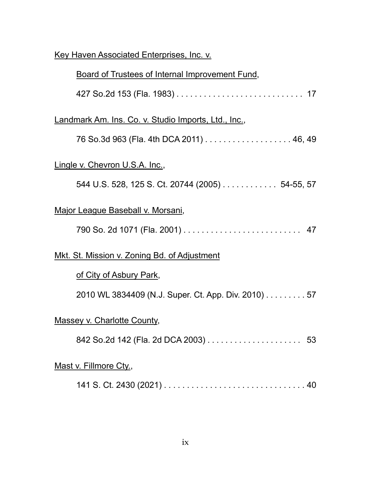# Key Haven Associated Enterprises, Inc. v.

| <b>Board of Trustees of Internal Improvement Fund,</b>        |
|---------------------------------------------------------------|
|                                                               |
| <u> Landmark Am. Ins. Co. v. Studio Imports, Ltd., Inc., </u> |
| 76 So.3d 963 (Fla. 4th DCA 2011) 46, 49                       |
| Lingle v. Chevron U.S.A. Inc.,                                |
| 544 U.S. 528, 125 S. Ct. 20744 (2005) 54-55, 57               |
| <u>Major League Baseball v. Morsani,</u>                      |
|                                                               |
| <u> Mkt. St. Mission v. Zoning Bd. of Adjustment</u>          |
| <u>of City of Asbury Park,</u>                                |
| 2010 WL 3834409 (N.J. Super. Ct. App. Div. 2010) 57           |
| <b>Massey v. Charlotte County,</b>                            |
|                                                               |
| Mast v. Fillmore Cty.,                                        |
|                                                               |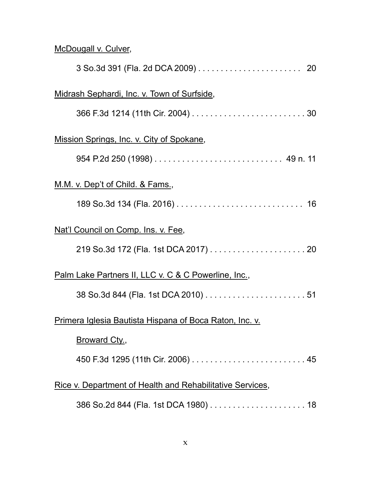## McDougall v. Culver,

| Midrash Sephardi, Inc. v. Town of Surfside,                      |
|------------------------------------------------------------------|
|                                                                  |
| Mission Springs, Inc. v. City of Spokane,                        |
|                                                                  |
| <u>M.M. v. Dep't of Child. &amp; Fams.,</u>                      |
|                                                                  |
| Nat'l Council on Comp. Ins. v. Fee,                              |
|                                                                  |
| Palm Lake Partners II, LLC v. C & C Powerline, Inc.,             |
|                                                                  |
| <u>Primera Iglesia Bautista Hispana of Boca Raton, Inc. v.</u>   |
| Broward Cty.,                                                    |
|                                                                  |
| <b>Rice v. Department of Health and Rehabilitative Services,</b> |
|                                                                  |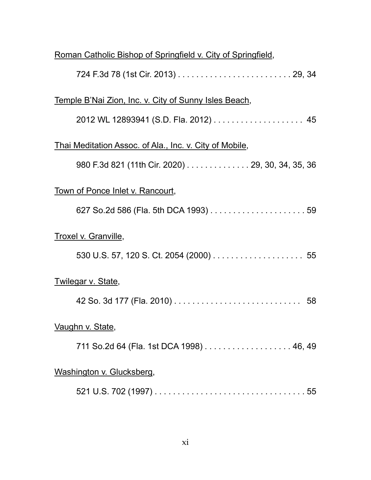## Roman Catholic Bishop of Springfield v. City of Springfield,

| <u>Temple B'Nai Zion, Inc. v. City of Sunny Isles Beach,</u> |
|--------------------------------------------------------------|
| 2012 WL 12893941 (S.D. Fla. 2012) 45                         |
| Thai Meditation Assoc. of Ala., Inc. v. City of Mobile,      |
| 980 F.3d 821 (11th Cir. 2020) 29, 30, 34, 35, 36             |
| Town of Ponce Inlet v. Rancourt,                             |
|                                                              |
| <b>Troxel v. Granville,</b>                                  |
|                                                              |
| <b>Twilegar v. State,</b>                                    |
|                                                              |
| <u>Vaughn v. State,</u>                                      |
| 711 So.2d 64 (Fla. 1st DCA 1998) 46, 49                      |
| Washington v. Glucksberg,                                    |
|                                                              |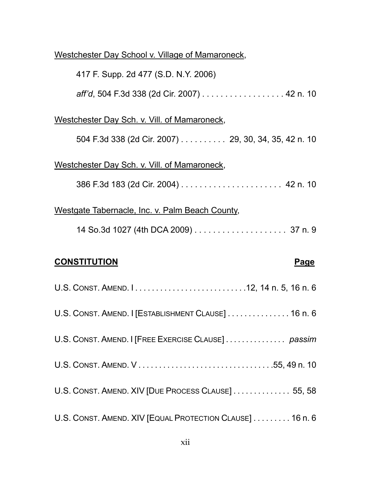| Westchester Day School v. Village of Mamaroneck,     |
|------------------------------------------------------|
| 417 F. Supp. 2d 477 (S.D. N.Y. 2006)                 |
| aff'd, 504 F.3d 338 (2d Cir. 2007) 42 n. 10          |
| Westchester Day Sch. v. Vill. of Mamaroneck,         |
| 504 F.3d 338 (2d Cir. 2007) 29, 30, 34, 35, 42 n. 10 |
| Westchester Day Sch. v. Vill. of Mamaroneck,         |
|                                                      |
| Westgate Tabernacle, Inc. v. Palm Beach County,      |
| 14 So.3d 1027 (4th DCA 2009) 37 n. 9                 |
|                                                      |
| <b>CONSTITUTION</b><br>Page                          |
|                                                      |
| U.S. CONST. AMEND. I [ESTABLISHMENT CLAUSE] 16 n. 6  |
| U.S. CONST. AMEND. I [FREE EXERCISE CLAUSE] passim   |
|                                                      |
| U.S. CONST. AMEND. XIV [DUE PROCESS CLAUSE] 55, 58   |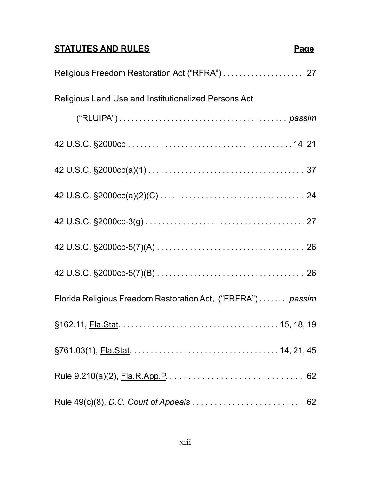## **STATUTES AND RULES Page**

| Religious Freedom Restoration Act ("RFRA")  27               |
|--------------------------------------------------------------|
| Religious Land Use and Institutionalized Persons Act         |
|                                                              |
|                                                              |
|                                                              |
|                                                              |
|                                                              |
|                                                              |
|                                                              |
| Florida Religious Freedom Restoration Act, ("FRFRA")  passim |
|                                                              |
|                                                              |
|                                                              |
|                                                              |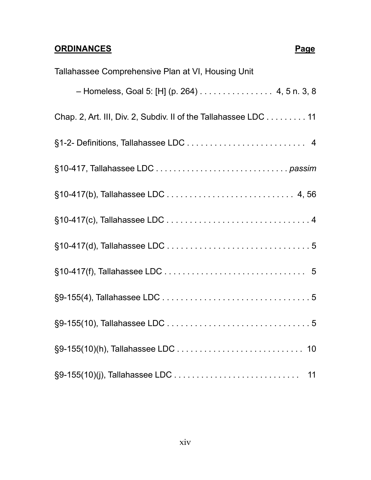## **ORDINANCES Page**

| Tallahassee Comprehensive Plan at VI, Housing Unit              |
|-----------------------------------------------------------------|
| - Homeless, Goal 5: [H] (p. 264) 4, 5 n. 3, 8                   |
| Chap. 2, Art. III, Div. 2, Subdiv. II of the Tallahassee LDC 11 |
|                                                                 |
|                                                                 |
|                                                                 |
|                                                                 |
|                                                                 |
|                                                                 |
|                                                                 |
|                                                                 |
|                                                                 |
|                                                                 |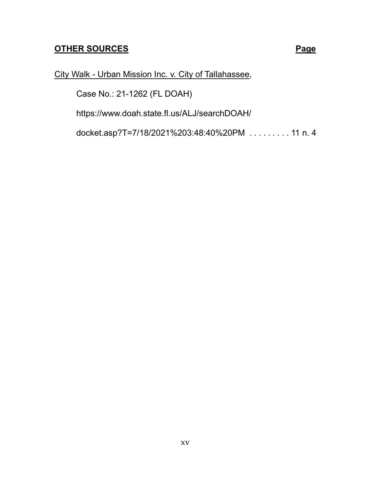#### **OTHER SOURCES Page**

#### City Walk - Urban Mission Inc. v. City of Tallahassee,

Case No.: 21-1262 (FL DOAH)

https://www.doah.state.fl.us/ALJ/searchDOAH/

docket.asp?T=7/18/2021%203:48:40%20PM . . . . . . . . . 11 n. 4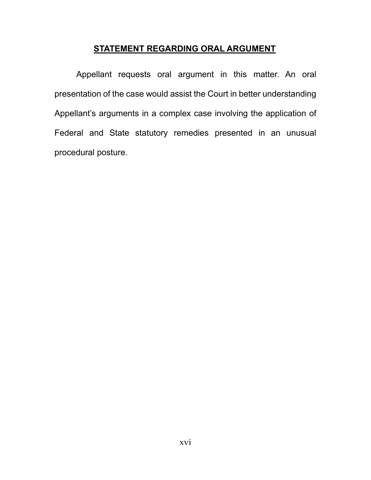#### **STATEMENT REGARDING ORAL ARGUMENT**

Appellant requests oral argument in this matter. An oral presentation of the case would assist the Court in better understanding Appellant's arguments in a complex case involving the application of Federal and State statutory remedies presented in an unusual procedural posture.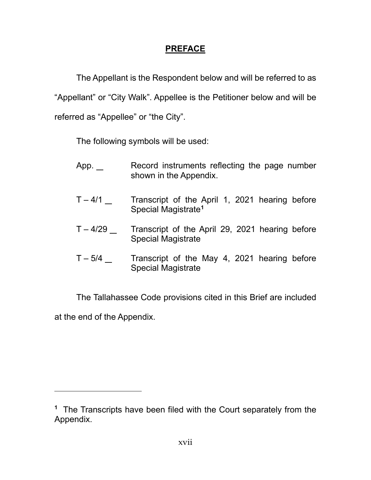#### **PREFACE**

The Appellant is the Respondent below and will be referred to as "Appellant" or "City Walk". Appellee is the Petitioner below and will be referred as "Appellee" or "the City".

The following symbols will be used:

- App. Record instruments reflecting the page number shown in the Appendix.
- $T 4/1$  Transcript of the April 1, 2021 hearing before Special Magistrate**[1](#page-18-0)**
- $T 4/29$  Transcript of the April 29, 2021 hearing before Special Magistrate
- $T 5/4$  Transcript of the May 4, 2021 hearing before Special Magistrate

The Tallahassee Code provisions cited in this Brief are included at the end of the Appendix.

<span id="page-18-0"></span>**<sup>1</sup>** The Transcripts have been filed with the Court separately from the Appendix.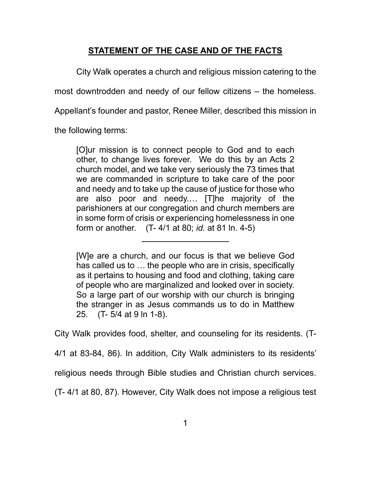#### **STATEMENT OF THE CASE AND OF THE FACTS**

City Walk operates a church and religious mission catering to the

most downtrodden and needy of our fellow citizens – the homeless.

Appellant's founder and pastor, Renee Miller, described this mission in

the following terms:

[O]ur mission is to connect people to God and to each other, to change lives forever. We do this by an Acts 2 church model, and we take very seriously the 73 times that we are commanded in scripture to take care of the poor and needy and to take up the cause of justice for those who are also poor and needy.… [T]he majority of the parishioners at our congregation and church members are in some form of crisis or experiencing homelessness in one form or another. (T- 4/1 at 80; *id.* at 81 ln. 4-5)

[W]e are a church, and our focus is that we believe God has called us to … the people who are in crisis, specifically as it pertains to housing and food and clothing, taking care of people who are marginalized and looked over in society. So a large part of our worship with our church is bringing the stranger in as Jesus commands us to do in Matthew 25. (T- 5/4 at 9 ln 1-8).

 $\overline{a}$ 

City Walk provides food, shelter, and counseling for its residents. (T-

4/1 at 83-84, 86). In addition, City Walk administers to its residents'

religious needs through Bible studies and Christian church services.

(T- 4/1 at 80, 87). However, City Walk does not impose a religious test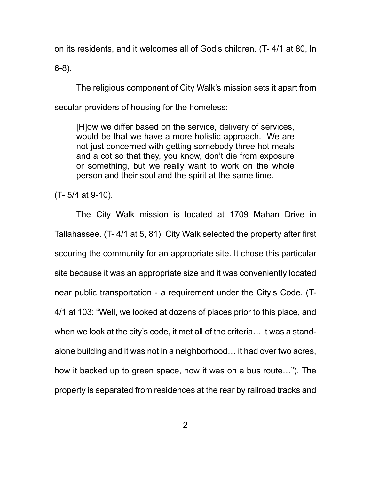on its residents, and it welcomes all of God's children. (T- 4/1 at 80, ln

6-8).

The religious component of City Walk's mission sets it apart from secular providers of housing for the homeless:

[H]ow we differ based on the service, delivery of services, would be that we have a more holistic approach. We are not just concerned with getting somebody three hot meals and a cot so that they, you know, don't die from exposure or something, but we really want to work on the whole person and their soul and the spirit at the same time.

(T- 5/4 at 9-10).

The City Walk mission is located at 1709 Mahan Drive in Tallahassee. (T- 4/1 at 5, 81). City Walk selected the property after first scouring the community for an appropriate site. It chose this particular site because it was an appropriate size and it was conveniently located near public transportation - a requirement under the City's Code. (T-4/1 at 103: "Well, we looked at dozens of places prior to this place, and when we look at the city's code, it met all of the criteria… it was a standalone building and it was not in a neighborhood… it had over two acres, how it backed up to green space, how it was on a bus route…"). The property is separated from residences at the rear by railroad tracks and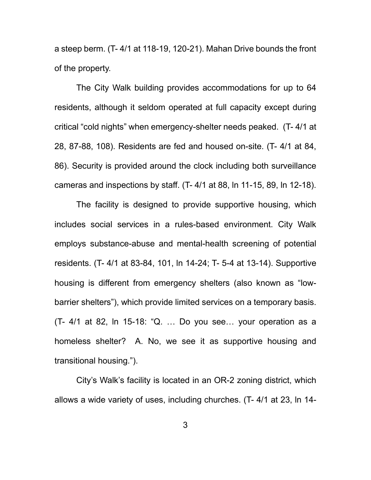a steep berm. (T- 4/1 at 118-19, 120-21). Mahan Drive bounds the front of the property.

The City Walk building provides accommodations for up to 64 residents, although it seldom operated at full capacity except during critical "cold nights" when emergency-shelter needs peaked. (T- 4/1 at 28, 87-88, 108). Residents are fed and housed on-site. (T- 4/1 at 84, 86). Security is provided around the clock including both surveillance cameras and inspections by staff. (T- 4/1 at 88, ln 11-15, 89, ln 12-18).

The facility is designed to provide supportive housing, which includes social services in a rules-based environment. City Walk employs substance-abuse and mental-health screening of potential residents. (T- 4/1 at 83-84, 101, ln 14-24; T- 5-4 at 13-14). Supportive housing is different from emergency shelters (also known as "lowbarrier shelters"), which provide limited services on a temporary basis. (T- 4/1 at 82, ln 15-18: "Q. … Do you see… your operation as a homeless shelter? A. No, we see it as supportive housing and transitional housing.").

City's Walk's facility is located in an OR-2 zoning district, which allows a wide variety of uses, including churches. (T- 4/1 at 23, ln 14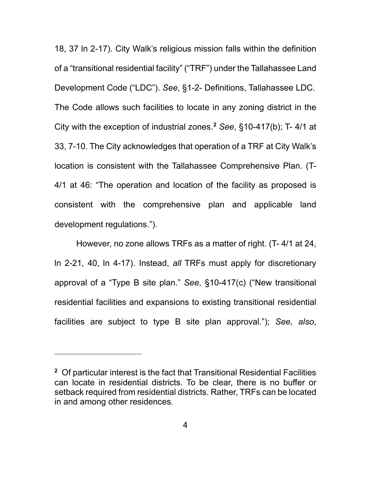18, 37 ln 2-17). City Walk's religious mission falls within the definition of a "transitional residential facility" ("TRF") under the Tallahassee Land Development Code ("LDC"). *See*, §1-2- Definitions, Tallahassee LDC. The Code allows such facilities to locate in any zoning district in the City with the exception of industrial zones. **[2](#page-22-0)** *See*, §10-417(b); T- 4/1 at 33, 7-10. The City acknowledges that operation of a TRF at City Walk's location is consistent with the Tallahassee Comprehensive Plan. (T-4/1 at 46: "The operation and location of the facility as proposed is consistent with the comprehensive plan and applicable land development regulations.").

However, no zone allows TRFs as a matter of right. (T- 4/1 at 24, ln 2-21, 40, ln 4-17). Instead, *all* TRFs must apply for discretionary approval of a "Type B site plan." *See*, §10-417(c) ("New transitional residential facilities and expansions to existing transitional residential facilities are subject to type B site plan approval."); *See, also*,

<span id="page-22-0"></span>**<sup>2</sup>** Of particular interest is the fact that Transitional Residential Facilities can locate in residential districts. To be clear, there is no buffer or setback required from residential districts. Rather, TRFs can be located in and among other residences.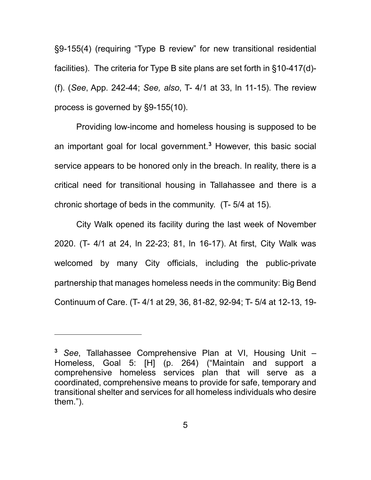§9-155(4) (requiring "Type B review" for new transitional residential facilities). The criteria for Type B site plans are set forth in §10-417(d)- (f). (*See*, App. 242-44; *See, also*, T- 4/1 at 33, ln 11-15). The review process is governed by §9-155(10).

Providing low-income and homeless housing is supposed to be an important goal for local government. **[3](#page-23-0)** However, this basic social service appears to be honored only in the breach. In reality, there is a critical need for transitional housing in Tallahassee and there is a chronic shortage of beds in the community. (T- 5/4 at 15).

City Walk opened its facility during the last week of November 2020. (T- 4/1 at 24, ln 22-23; 81, ln 16-17). At first, City Walk was welcomed by many City officials, including the public-private partnership that manages homeless needs in the community: Big Bend Continuum of Care. (T- 4/1 at 29, 36, 81-82, 92-94; T- 5/4 at 12-13, 19-

<span id="page-23-0"></span>**<sup>3</sup>** *See*, Tallahassee Comprehensive Plan at VI, Housing Unit – Homeless, Goal 5: [H] (p. 264) ("Maintain and support a comprehensive homeless services plan that will serve as a coordinated, comprehensive means to provide for safe, temporary and transitional shelter and services for all homeless individuals who desire them.").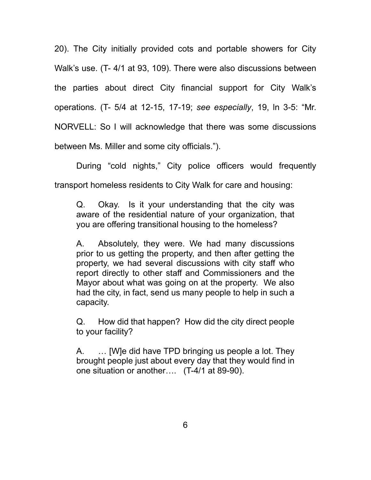20). The City initially provided cots and portable showers for City Walk's use. (T- 4/1 at 93, 109). There were also discussions between the parties about direct City financial support for City Walk's operations. (T- 5/4 at 12-15, 17-19; *see especially*, 19, ln 3-5: "Mr. NORVELL: So I will acknowledge that there was some discussions between Ms. Miller and some city officials.").

During "cold nights," City police officers would frequently transport homeless residents to City Walk for care and housing:

Q. Okay. Is it your understanding that the city was aware of the residential nature of your organization, that you are offering transitional housing to the homeless?

A. Absolutely, they were. We had many discussions prior to us getting the property, and then after getting the property, we had several discussions with city staff who report directly to other staff and Commissioners and the Mayor about what was going on at the property. We also had the city, in fact, send us many people to help in such a capacity.

Q. How did that happen? How did the city direct people to your facility?

A. … [W]e did have TPD bringing us people a lot. They brought people just about every day that they would find in one situation or another…. (T-4/1 at 89-90).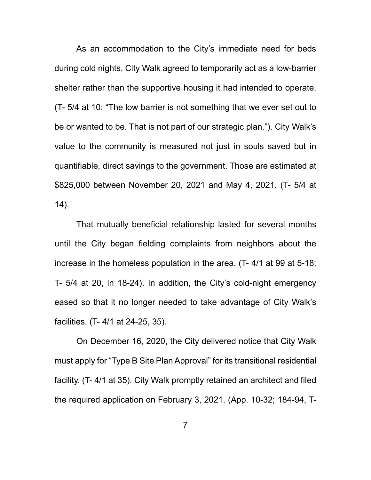As an accommodation to the City's immediate need for beds during cold nights, City Walk agreed to temporarily act as a low-barrier shelter rather than the supportive housing it had intended to operate. (T- 5/4 at 10: "The low barrier is not something that we ever set out to be or wanted to be. That is not part of our strategic plan."). City Walk's value to the community is measured not just in souls saved but in quantifiable, direct savings to the government. Those are estimated at \$825,000 between November 20, 2021 and May 4, 2021. (T- 5/4 at 14).

That mutually beneficial relationship lasted for several months until the City began fielding complaints from neighbors about the increase in the homeless population in the area. (T- 4/1 at 99 at 5-18; T- 5/4 at 20, ln 18-24). In addition, the City's cold-night emergency eased so that it no longer needed to take advantage of City Walk's facilities. (T- 4/1 at 24-25, 35).

On December 16, 2020, the City delivered notice that City Walk must apply for "Type B Site Plan Approval" for its transitional residential facility. (T- 4/1 at 35). City Walk promptly retained an architect and filed the required application on February 3, 2021. (App. 10-32; 184-94, T-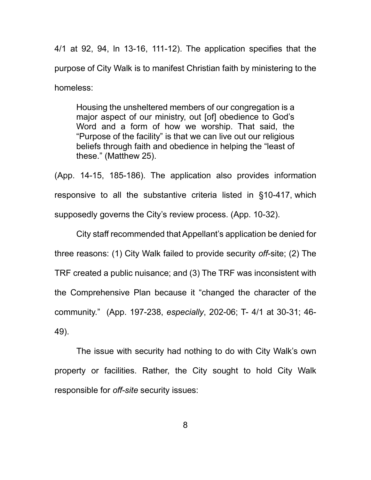4/1 at 92, 94, ln 13-16, 111-12). The application specifies that the purpose of City Walk is to manifest Christian faith by ministering to the homeless:

Housing the unsheltered members of our congregation is a major aspect of our ministry, out [of] obedience to God's Word and a form of how we worship. That said, the "Purpose of the facility" is that we can live out our religious beliefs through faith and obedience in helping the "least of these." (Matthew 25).

(App. 14-15, 185-186). The application also provides information responsive to all the substantive criteria listed in §10-417, which supposedly governs the City's review process. (App. 10-32).

City staff recommended that Appellant's application be denied for three reasons: (1) City Walk failed to provide security *off*-site; (2) The TRF created a public nuisance; and (3) The TRF was inconsistent with the Comprehensive Plan because it "changed the character of the community." (App. 197-238, *especially*, 202-06; T- 4/1 at 30-31; 46- 49).

The issue with security had nothing to do with City Walk's own property or facilities. Rather, the City sought to hold City Walk responsible for *off-site* security issues:

8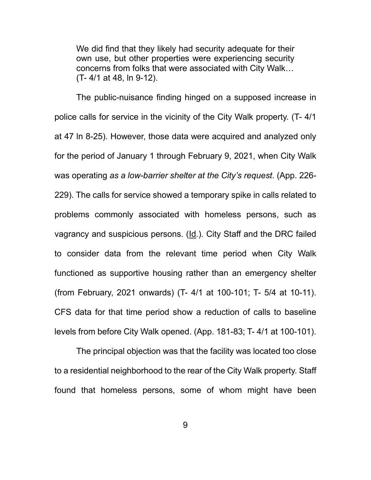We did find that they likely had security adequate for their own use, but other properties were experiencing security concerns from folks that were associated with City Walk… (T- 4/1 at 48, ln 9-12).

The public-nuisance finding hinged on a supposed increase in police calls for service in the vicinity of the City Walk property. (T- 4/1 at 47 ln 8-25). However, those data were acquired and analyzed only for the period of January 1 through February 9, 2021, when City Walk was operating *as a low-barrier shelter at the City's request*. (App. 226- 229). The calls for service showed a temporary spike in calls related to problems commonly associated with homeless persons, such as vagrancy and suspicious persons. (Id.). City Staff and the DRC failed to consider data from the relevant time period when City Walk functioned as supportive housing rather than an emergency shelter (from February, 2021 onwards) (T- 4/1 at 100-101; T- 5/4 at 10-11). CFS data for that time period show a reduction of calls to baseline levels from before City Walk opened. (App. 181-83; T- 4/1 at 100-101).

The principal objection was that the facility was located too close to a residential neighborhood to the rear of the City Walk property. Staff found that homeless persons, some of whom might have been

9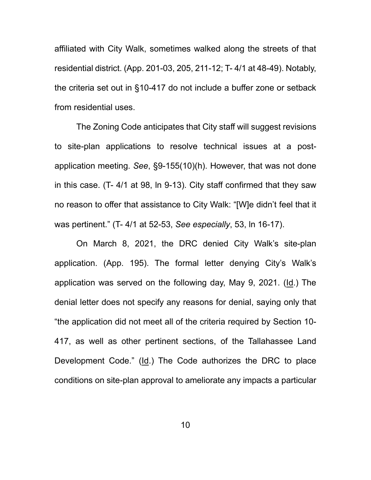affiliated with City Walk, sometimes walked along the streets of that residential district. (App. 201-03, 205, 211-12; T- 4/1 at 48-49). Notably, the criteria set out in §10-417 do not include a buffer zone or setback from residential uses.

The Zoning Code anticipates that City staff will suggest revisions to site-plan applications to resolve technical issues at a postapplication meeting. *See*, §9-155(10)(h). However, that was not done in this case. (T- 4/1 at 98, ln 9-13). City staff confirmed that they saw no reason to offer that assistance to City Walk: "[W]e didn't feel that it was pertinent." (T- 4/1 at 52-53, *See especially*, 53, ln 16-17).

On March 8, 2021, the DRC denied City Walk's site-plan application. (App. 195). The formal letter denying City's Walk's application was served on the following day, May 9, 2021. (Id.) The denial letter does not specify any reasons for denial, saying only that "the application did not meet all of the criteria required by Section 10- 417, as well as other pertinent sections, of the Tallahassee Land Development Code." (Id.) The Code authorizes the DRC to place conditions on site-plan approval to ameliorate any impacts a particular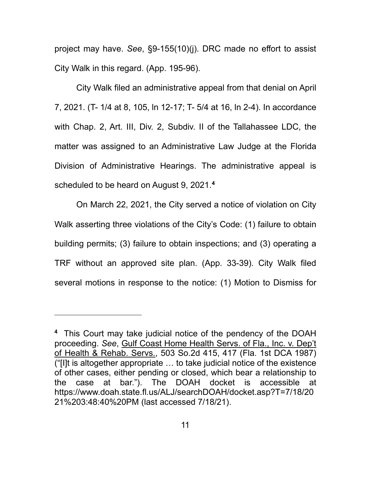project may have. *See*, §9-155(10)(j). DRC made no effort to assist City Walk in this regard. (App. 195-96).

City Walk filed an administrative appeal from that denial on April 7, 2021. (T- 1/4 at 8, 105, ln 12-17; T- 5/4 at 16, ln 2-4). In accordance with Chap. 2, Art. III, Div. 2, Subdiv. II of the Tallahassee LDC, the matter was assigned to an Administrative Law Judge at the Florida Division of Administrative Hearings. The administrative appeal is scheduled to be heard on August 9, 2021. **[4](#page-29-0)**

On March 22, 2021, the City served a notice of violation on City Walk asserting three violations of the City's Code: (1) failure to obtain building permits; (3) failure to obtain inspections; and (3) operating a TRF without an approved site plan. (App. 33-39). City Walk filed several motions in response to the notice: (1) Motion to Dismiss for

<span id="page-29-0"></span>**<sup>4</sup>** This Court may take judicial notice of the pendency of the DOAH proceeding. *See*, Gulf Coast Home Health Servs. of Fla., Inc. v. Dep't of Health & Rehab. Servs., 503 So.2d 415, 417 (Fla. 1st DCA 1987) ("[I]t is altogether appropriate … to take judicial notice of the existence of other cases, either pending or closed, which bear a relationship to the case at bar."). The DOAH docket is accessible at https://www.doah.state.fl.us/ALJ/searchDOAH/docket.asp?T=7/18/20 21%203:48:40%20PM (last accessed 7/18/21).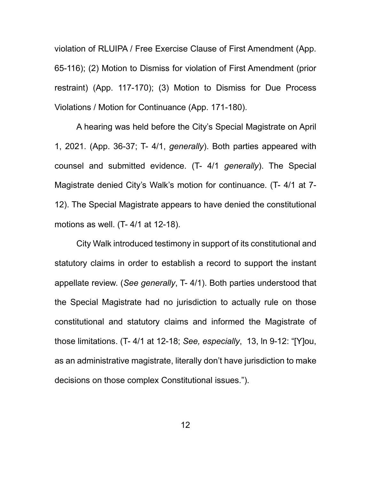violation of RLUIPA / Free Exercise Clause of First Amendment (App. 65-116); (2) Motion to Dismiss for violation of First Amendment (prior restraint) (App. 117-170); (3) Motion to Dismiss for Due Process Violations / Motion for Continuance (App. 171-180).

A hearing was held before the City's Special Magistrate on April 1, 2021. (App. 36-37; T- 4/1, *generally*). Both parties appeared with counsel and submitted evidence. (T- 4/1 *generally*). The Special Magistrate denied City's Walk's motion for continuance. (T- 4/1 at 7- 12). The Special Magistrate appears to have denied the constitutional motions as well. (T- 4/1 at 12-18).

City Walk introduced testimony in support of its constitutional and statutory claims in order to establish a record to support the instant appellate review. (*See generally*, T- 4/1). Both parties understood that the Special Magistrate had no jurisdiction to actually rule on those constitutional and statutory claims and informed the Magistrate of those limitations. (T- 4/1 at 12-18; *See, especially*, 13, ln 9-12: "[Y]ou, as an administrative magistrate, literally don't have jurisdiction to make decisions on those complex Constitutional issues.").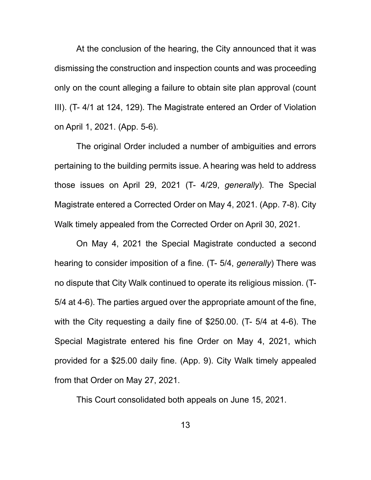At the conclusion of the hearing, the City announced that it was dismissing the construction and inspection counts and was proceeding only on the count alleging a failure to obtain site plan approval (count III). (T- 4/1 at 124, 129). The Magistrate entered an Order of Violation on April 1, 2021. (App. 5-6).

The original Order included a number of ambiguities and errors pertaining to the building permits issue. A hearing was held to address those issues on April 29, 2021 (T- 4/29, *generally*). The Special Magistrate entered a Corrected Order on May 4, 2021. (App. 7-8). City Walk timely appealed from the Corrected Order on April 30, 2021.

On May 4, 2021 the Special Magistrate conducted a second hearing to consider imposition of a fine. (T- 5/4, *generally*) There was no dispute that City Walk continued to operate its religious mission. (T-5/4 at 4-6). The parties argued over the appropriate amount of the fine, with the City requesting a daily fine of \$250.00. (T- 5/4 at 4-6). The Special Magistrate entered his fine Order on May 4, 2021, which provided for a \$25.00 daily fine. (App. 9). City Walk timely appealed from that Order on May 27, 2021.

This Court consolidated both appeals on June 15, 2021.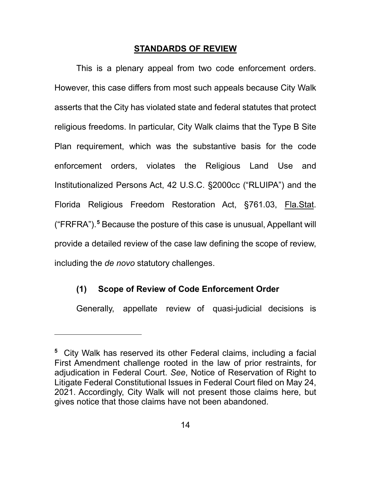#### **STANDARDS OF REVIEW**

This is a plenary appeal from two code enforcement orders. However, this case differs from most such appeals because City Walk asserts that the City has violated state and federal statutes that protect religious freedoms. In particular, City Walk claims that the Type B Site Plan requirement, which was the substantive basis for the code enforcement orders, violates the Religious Land Use and Institutionalized Persons Act, 42 U.S.C. §2000cc ("RLUIPA") and the Florida Religious Freedom Restoration Act, §761.03, Fla.Stat. ("FRFRA"). **[5](#page-32-0)** Because the posture of this case is unusual, Appellant will provide a detailed review of the case law defining the scope of review, including the *de novo* statutory challenges.

#### **(1) Scope of Review of Code Enforcement Order**

Generally, appellate review of quasi-judicial decisions is

<span id="page-32-0"></span>**<sup>5</sup>** City Walk has reserved its other Federal claims, including a facial First Amendment challenge rooted in the law of prior restraints, for adjudication in Federal Court. *See*, Notice of Reservation of Right to Litigate Federal Constitutional Issues in Federal Court filed on May 24, 2021. Accordingly, City Walk will not present those claims here, but gives notice that those claims have not been abandoned.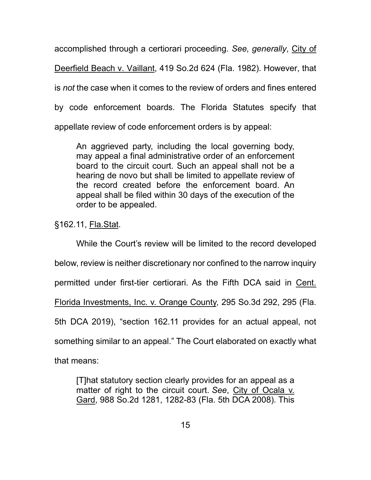accomplished through a certiorari proceeding. *See, generally*, City of Deerfield Beach v. Vaillant, 419 So.2d 624 (Fla. 1982). However, that is *not* the case when it comes to the review of orders and fines entered by code enforcement boards. The Florida Statutes specify that appellate review of code enforcement orders is by appeal:

An aggrieved party, including the local governing body, may appeal a final administrative order of an enforcement board to the circuit court. Such an appeal shall not be a hearing de novo but shall be limited to appellate review of the record created before the enforcement board. An appeal shall be filed within 30 days of the execution of the order to be appealed.

§162.11, Fla.Stat.

While the Court's review will be limited to the record developed below, review is neither discretionary nor confined to the narrow inquiry permitted under first-tier certiorari. As the Fifth DCA said in Cent. Florida Investments, Inc. v. Orange County, 295 So.3d 292, 295 (Fla. 5th DCA 2019), "section 162.11 provides for an actual appeal, not something similar to an appeal." The Court elaborated on exactly what that means:

[T]hat statutory section clearly provides for an appeal as a matter of right to the circuit court. *See*, City of Ocala v. Gard, 988 So.2d 1281, 1282-83 (Fla. 5th DCA 2008). This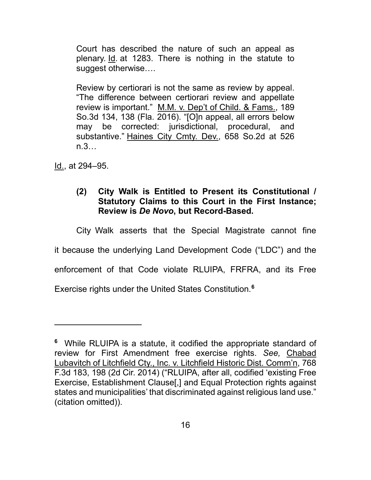Court has described the nature of such an appeal as plenary. Id. at 1283. There is nothing in the statute to suggest otherwise….

Review by certiorari is not the same as review by appeal. "The difference between certiorari review and appellate review is important." M.M. v. Dep't of Child. & Fams., 189 So.3d 134, 138 (Fla. 2016). "[O]n appeal, all errors below may be corrected: jurisdictional, procedural, and substantive." Haines City Cmty. Dev., 658 So.2d at 526 n.3…

Id., at 294–95.

#### **(2) City Walk is Entitled to Present its Constitutional / Statutory Claims to this Court in the First Instance; Review is** *De Novo***, but Record-Based.**

City Walk asserts that the Special Magistrate cannot fine

it because the underlying Land Development Code ("LDC") and the

enforcement of that Code violate RLUIPA, FRFRA, and its Free

Exercise rights under the United States Constitution. **[6](#page-34-0)**

<span id="page-34-0"></span>**<sup>6</sup>** While RLUIPA is a statute, it codified the appropriate standard of review for First Amendment free exercise rights. *See,* Chabad Lubavitch of Litchfield Cty., Inc. v. Litchfield Historic Dist. Comm'n, 768 F.3d 183, 198 (2d Cir. 2014) ("RLUIPA, after all, codified 'existing Free Exercise, Establishment Clause[,] and Equal Protection rights against states and municipalities' that discriminated against religious land use." (citation omitted)).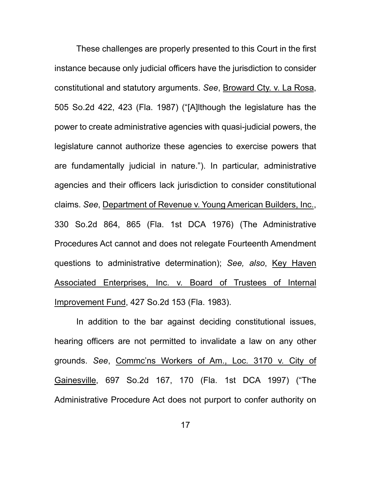These challenges are properly presented to this Court in the first instance because only judicial officers have the jurisdiction to consider constitutional and statutory arguments. *See*, Broward Cty. v. La Rosa, 505 So.2d 422, 423 (Fla. 1987) ("[A]lthough the legislature has the power to create administrative agencies with quasi-judicial powers, the legislature cannot authorize these agencies to exercise powers that are fundamentally judicial in nature."). In particular, administrative agencies and their officers lack jurisdiction to consider constitutional claims. *See*, Department of Revenue v. Young American Builders, Inc., 330 So.2d 864, 865 (Fla. 1st DCA 1976) (The Administrative Procedures Act cannot and does not relegate Fourteenth Amendment questions to administrative determination); *See, also*, Key Haven Associated Enterprises, Inc. v. Board of Trustees of Internal Improvement Fund, 427 So.2d 153 (Fla. 1983).

In addition to the bar against deciding constitutional issues, hearing officers are not permitted to invalidate a law on any other grounds. *See*, Commc'ns Workers of Am., Loc. 3170 v. City of Gainesville, 697 So.2d 167, 170 (Fla. 1st DCA 1997) ("The Administrative Procedure Act does not purport to confer authority on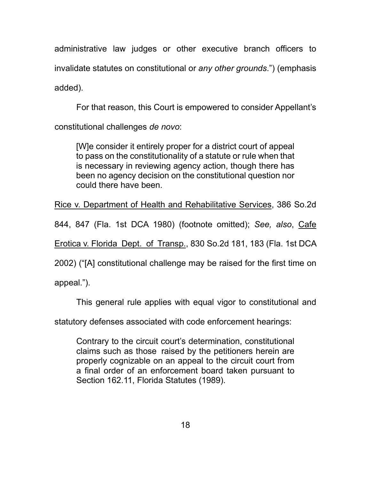administrative law judges or other executive branch officers to invalidate statutes on constitutional or *any other grounds*.") (emphasis added).

For that reason, this Court is empowered to consider Appellant's constitutional challenges *de novo*:

[W]e consider it entirely proper for a district court of appeal to pass on the constitutionality of a statute or rule when that is necessary in reviewing agency action, though there has been no agency decision on the constitutional question nor could there have been.

Rice v. Department of Health and Rehabilitative Services, 386 So.2d

844, 847 (Fla. 1st DCA 1980) (footnote omitted); *See, also*, Cafe

Erotica v. Florida Dept. of Transp., 830 So.2d 181, 183 (Fla. 1st DCA

2002) ("[A] constitutional challenge may be raised for the first time on

appeal.").

This general rule applies with equal vigor to constitutional and

statutory defenses associated with code enforcement hearings:

Contrary to the circuit court's determination, constitutional claims such as those raised by the petitioners herein are properly cognizable on an appeal to the circuit court from a final order of an enforcement board taken pursuant to Section 162.11, Florida Statutes (1989).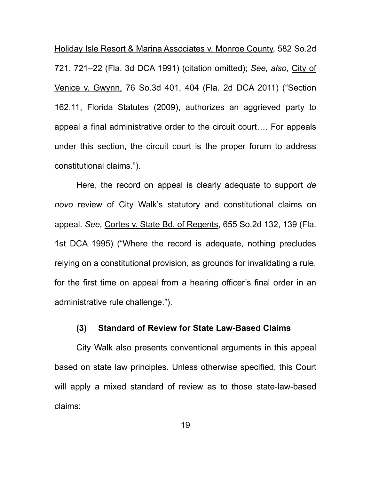Holiday Isle Resort & Marina Associates v. Monroe County, 582 So.2d 721, 721–22 (Fla. 3d DCA 1991) (citation omitted); *See, also*, City of Venice v. Gwynn, 76 So.3d 401, 404 (Fla. 2d DCA 2011) ("Section 162.11, Florida Statutes (2009), authorizes an aggrieved party to appeal a final administrative order to the circuit court…. For appeals under this section, the circuit court is the proper forum to address constitutional claims.").

Here, the record on appeal is clearly adequate to support *de novo* review of City Walk's statutory and constitutional claims on appeal. *See,* Cortes v. State Bd. of Regents, 655 So.2d 132, 139 (Fla. 1st DCA 1995) ("Where the record is adequate, nothing precludes relying on a constitutional provision, as grounds for invalidating a rule, for the first time on appeal from a hearing officer's final order in an administrative rule challenge.").

#### **(3) Standard of Review for State Law-Based Claims**

City Walk also presents conventional arguments in this appeal based on state law principles. Unless otherwise specified, this Court will apply a mixed standard of review as to those state-law-based claims: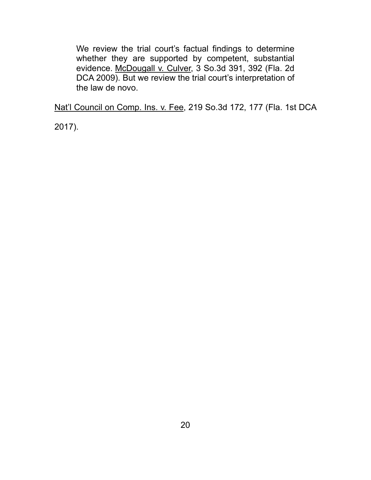We review the trial court's factual findings to determine whether they are supported by competent, substantial evidence. McDougall v. Culver, 3 So.3d 391, 392 (Fla. 2d DCA 2009). But we review the trial court's interpretation of the law de novo.

Nat'l Council on Comp. Ins. v. Fee, 219 So.3d 172, 177 (Fla. 1st DCA

2017).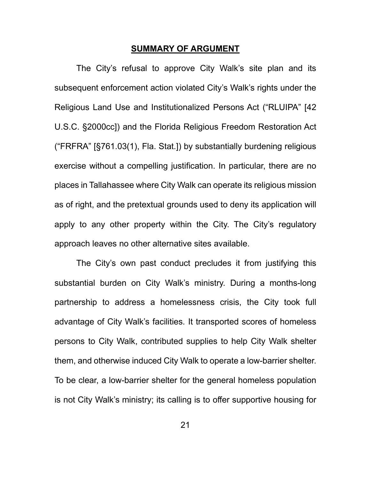#### **SUMMARY OF ARGUMENT**

The City's refusal to approve City Walk's site plan and its subsequent enforcement action violated City's Walk's rights under the Religious Land Use and Institutionalized Persons Act ("RLUIPA" [42 U.S.C. §2000cc]) and the Florida Religious Freedom Restoration Act ("FRFRA" [§761.03(1), Fla. Stat.]) by substantially burdening religious exercise without a compelling justification. In particular, there are no places in Tallahassee where City Walk can operate its religious mission as of right, and the pretextual grounds used to deny its application will apply to any other property within the City. The City's regulatory approach leaves no other alternative sites available.

The City's own past conduct precludes it from justifying this substantial burden on City Walk's ministry. During a months-long partnership to address a homelessness crisis, the City took full advantage of City Walk's facilities. It transported scores of homeless persons to City Walk, contributed supplies to help City Walk shelter them, and otherwise induced City Walk to operate a low-barrier shelter. To be clear, a low-barrier shelter for the general homeless population is not City Walk's ministry; its calling is to offer supportive housing for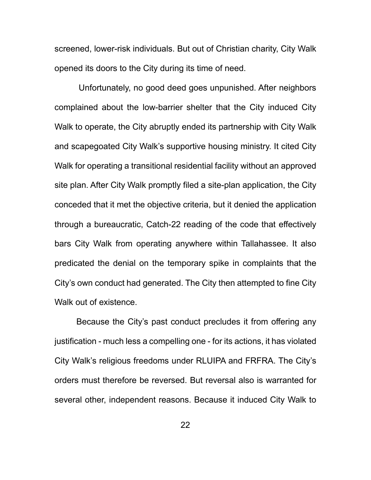screened, lower-risk individuals. But out of Christian charity, City Walk opened its doors to the City during its time of need.

Unfortunately, no good deed goes unpunished. After neighbors complained about the low-barrier shelter that the City induced City Walk to operate, the City abruptly ended its partnership with City Walk and scapegoated City Walk's supportive housing ministry. It cited City Walk for operating a transitional residential facility without an approved site plan. After City Walk promptly filed a site-plan application, the City conceded that it met the objective criteria, but it denied the application through a bureaucratic, Catch-22 reading of the code that effectively bars City Walk from operating anywhere within Tallahassee. It also predicated the denial on the temporary spike in complaints that the City's own conduct had generated. The City then attempted to fine City Walk out of existence.

Because the City's past conduct precludes it from offering any justification - much less a compelling one - for its actions, it has violated City Walk's religious freedoms under RLUIPA and FRFRA. The City's orders must therefore be reversed. But reversal also is warranted for several other, independent reasons. Because it induced City Walk to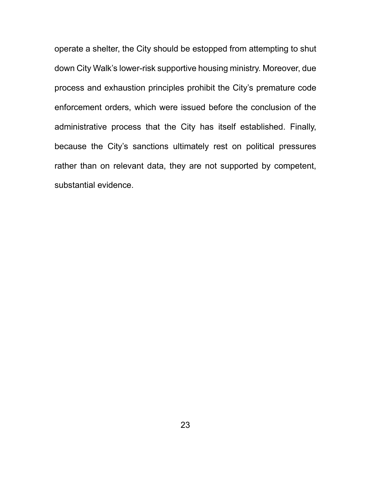operate a shelter, the City should be estopped from attempting to shut down City Walk's lower-risk supportive housing ministry. Moreover, due process and exhaustion principles prohibit the City's premature code enforcement orders, which were issued before the conclusion of the administrative process that the City has itself established. Finally, because the City's sanctions ultimately rest on political pressures rather than on relevant data, they are not supported by competent, substantial evidence.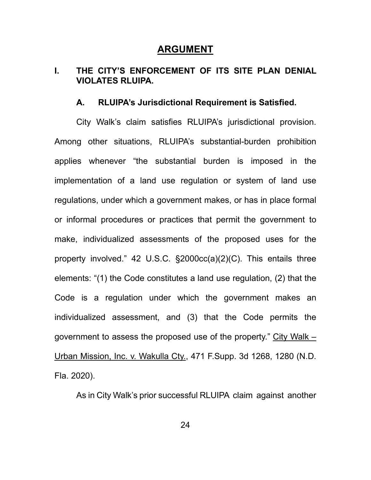### **ARGUMENT**

## **I. THE CITY'S ENFORCEMENT OF ITS SITE PLAN DENIAL VIOLATES RLUIPA.**

#### **A. RLUIPA's Jurisdictional Requirement is Satisfied.**

City Walk's claim satisfies RLUIPA's jurisdictional provision. Among other situations, RLUIPA's substantial-burden prohibition applies whenever "the substantial burden is imposed in the implementation of a land use regulation or system of land use regulations, under which a government makes, or has in place formal or informal procedures or practices that permit the government to make, individualized assessments of the proposed uses for the property involved." 42 U.S.C. §2000cc(a)(2)(C). This entails three elements: "(1) the Code constitutes a land use regulation, (2) that the Code is a regulation under which the government makes an individualized assessment, and (3) that the Code permits the government to assess the proposed use of the property." City Walk – Urban Mission, Inc. v. Wakulla Cty., 471 F.Supp. 3d 1268, 1280 (N.D. Fla. 2020).

As in City Walk's prior successful RLUIPA claim against another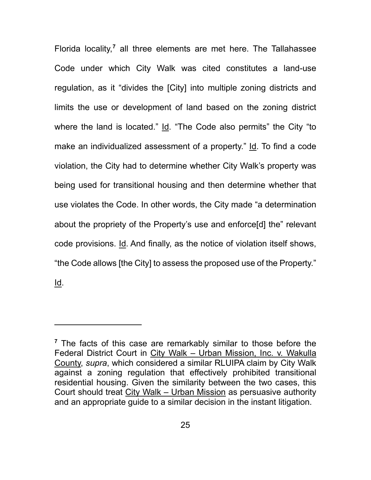Florida locality,**[7](#page-43-0)** all three elements are met here. The Tallahassee Code under which City Walk was cited constitutes a land-use regulation, as it "divides the [City] into multiple zoning districts and limits the use or development of land based on the zoning district where the land is located." Id. "The Code also permits" the City "to make an individualized assessment of a property." Id. To find a code violation, the City had to determine whether City Walk's property was being used for transitional housing and then determine whether that use violates the Code. In other words, the City made "a determination about the propriety of the Property's use and enforce[d] the" relevant code provisions. Id. And finally, as the notice of violation itself shows, "the Code allows [the City] to assess the proposed use of the Property." Id.

<span id="page-43-0"></span>**<sup>7</sup>** The facts of this case are remarkably similar to those before the Federal District Court in City Walk – Urban Mission, Inc. v. Wakulla County, *supra*, which considered a similar RLUIPA claim by City Walk against a zoning regulation that effectively prohibited transitional residential housing. Given the similarity between the two cases, this Court should treat City Walk – Urban Mission as persuasive authority and an appropriate guide to a similar decision in the instant litigation.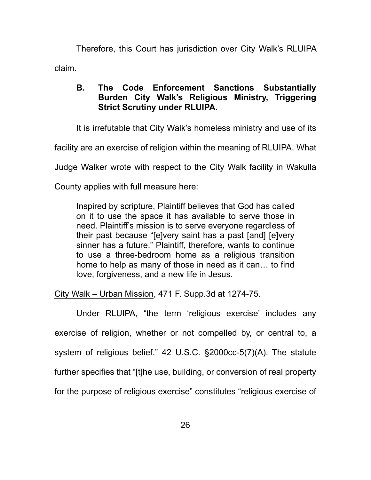Therefore, this Court has jurisdiction over City Walk's RLUIPA claim.

# **B. The Code Enforcement Sanctions Substantially Burden City Walk's Religious Ministry, Triggering Strict Scrutiny under RLUIPA.**

It is irrefutable that City Walk's homeless ministry and use of its

facility are an exercise of religion within the meaning of RLUIPA. What

Judge Walker wrote with respect to the City Walk facility in Wakulla

County applies with full measure here:

Inspired by scripture, Plaintiff believes that God has called on it to use the space it has available to serve those in need. Plaintiff's mission is to serve everyone regardless of their past because "[e]very saint has a past [and] [e]very sinner has a future." Plaintiff, therefore, wants to continue to use a three-bedroom home as a religious transition home to help as many of those in need as it can… to find love, forgiveness, and a new life in Jesus.

City Walk – Urban Mission, 471 F. Supp.3d at 1274-75.

Under RLUIPA, "the term 'religious exercise' includes any exercise of religion, whether or not compelled by, or central to, a system of religious belief." 42 U.S.C. §2000cc-5(7)(A). The statute further specifies that "[t]he use, building, or conversion of real property for the purpose of religious exercise" constitutes "religious exercise of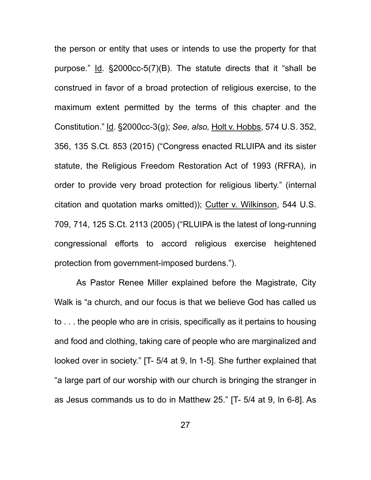the person or entity that uses or intends to use the property for that purpose." Id. §2000cc-5(7)(B). The statute directs that it "shall be construed in favor of a broad protection of religious exercise, to the maximum extent permitted by the terms of this chapter and the Constitution." Id. §2000cc-3(g); *See, also,* Holt v. Hobbs, 574 U.S. 352, 356, 135 S.Ct. 853 (2015) ("Congress enacted RLUIPA and its sister statute, the Religious Freedom Restoration Act of 1993 (RFRA), in order to provide very broad protection for religious liberty." (internal citation and quotation marks omitted)); Cutter v. Wilkinson, 544 U.S. 709, 714, 125 S.Ct. 2113 (2005) ("RLUIPA is the latest of long-running congressional efforts to accord religious exercise heightened protection from government-imposed burdens.").

As Pastor Renee Miller explained before the Magistrate, City Walk is "a church, and our focus is that we believe God has called us to . . . the people who are in crisis, specifically as it pertains to housing and food and clothing, taking care of people who are marginalized and looked over in society." [T- 5/4 at 9, ln 1-5]. She further explained that "a large part of our worship with our church is bringing the stranger in as Jesus commands us to do in Matthew 25." [T- 5/4 at 9, ln 6-8]. As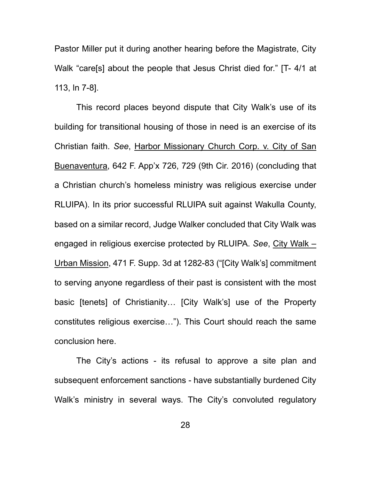Pastor Miller put it during another hearing before the Magistrate, City Walk "care[s] about the people that Jesus Christ died for." [T- 4/1 at 113, ln 7-8].

This record places beyond dispute that City Walk's use of its building for transitional housing of those in need is an exercise of its Christian faith. *See*, Harbor Missionary Church Corp. v. City of San Buenaventura, 642 F. App'x 726, 729 (9th Cir. 2016) (concluding that a Christian church's homeless ministry was religious exercise under RLUIPA). In its prior successful RLUIPA suit against Wakulla County, based on a similar record, Judge Walker concluded that City Walk was engaged in religious exercise protected by RLUIPA. *See*, City Walk – Urban Mission, 471 F. Supp. 3d at 1282-83 ("[City Walk's] commitment to serving anyone regardless of their past is consistent with the most basic [tenets] of Christianity… [City Walk's] use of the Property constitutes religious exercise…"). This Court should reach the same conclusion here.

The City's actions - its refusal to approve a site plan and subsequent enforcement sanctions - have substantially burdened City Walk's ministry in several ways. The City's convoluted regulatory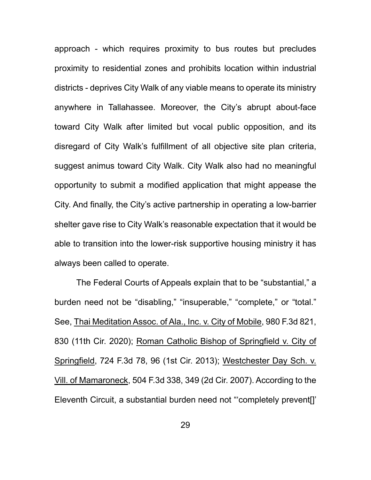approach - which requires proximity to bus routes but precludes proximity to residential zones and prohibits location within industrial districts - deprives City Walk of any viable means to operate its ministry anywhere in Tallahassee. Moreover, the City's abrupt about-face toward City Walk after limited but vocal public opposition, and its disregard of City Walk's fulfillment of all objective site plan criteria, suggest animus toward City Walk. City Walk also had no meaningful opportunity to submit a modified application that might appease the City. And finally, the City's active partnership in operating a low-barrier shelter gave rise to City Walk's reasonable expectation that it would be able to transition into the lower-risk supportive housing ministry it has always been called to operate.

The Federal Courts of Appeals explain that to be "substantial," a burden need not be "disabling," "insuperable," "complete," or "total." See, Thai Meditation Assoc. of Ala., Inc. v. City of Mobile, 980 F.3d 821, 830 (11th Cir. 2020); Roman Catholic Bishop of Springfield v. City of Springfield, 724 F.3d 78, 96 (1st Cir. 2013); Westchester Day Sch. v. Vill. of Mamaroneck, 504 F.3d 338, 349 (2d Cir. 2007). According to the Eleventh Circuit, a substantial burden need not "'completely prevent[]'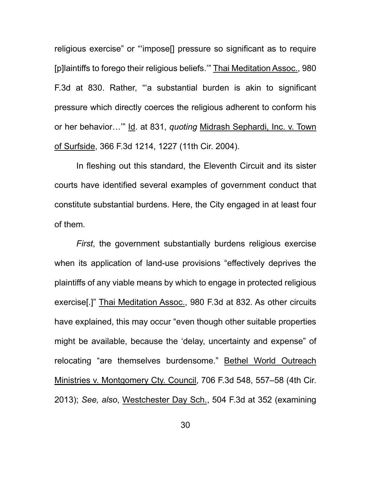religious exercise" or "'impose[] pressure so significant as to require [p]laintiffs to forego their religious beliefs.'" Thai Meditation Assoc., 980 F.3d at 830. Rather, "'a substantial burden is akin to significant pressure which directly coerces the religious adherent to conform his or her behavior…'" Id. at 831, *quoting* Midrash Sephardi, Inc. v. Town of Surfside, 366 F.3d 1214, 1227 (11th Cir. 2004).

In fleshing out this standard, the Eleventh Circuit and its sister courts have identified several examples of government conduct that constitute substantial burdens. Here, the City engaged in at least four of them.

*First*, the government substantially burdens religious exercise when its application of land-use provisions "effectively deprives the plaintiffs of any viable means by which to engage in protected religious exercise[.]" Thai Meditation Assoc., 980 F.3d at 832. As other circuits have explained, this may occur "even though other suitable properties might be available, because the 'delay, uncertainty and expense" of relocating "are themselves burdensome." Bethel World Outreach Ministries v. Montgomery Cty. Council, 706 F.3d 548, 557–58 (4th Cir. 2013); *See, also*, Westchester Day Sch., 504 F.3d at 352 (examining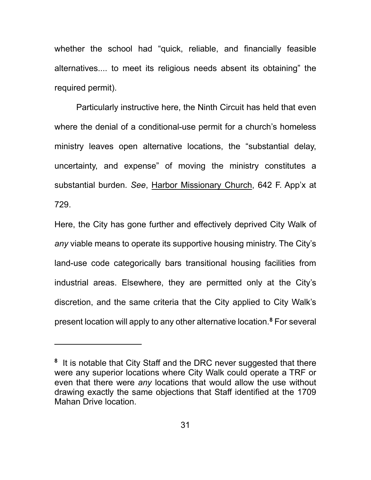whether the school had "quick, reliable, and financially feasible alternatives.... to meet its religious needs absent its obtaining" the required permit).

Particularly instructive here, the Ninth Circuit has held that even where the denial of a conditional-use permit for a church's homeless ministry leaves open alternative locations, the "substantial delay, uncertainty, and expense" of moving the ministry constitutes a substantial burden. *See*, Harbor Missionary Church, 642 F. App'x at 729.

Here, the City has gone further and effectively deprived City Walk of *any* viable means to operate its supportive housing ministry. The City's land-use code categorically bars transitional housing facilities from industrial areas. Elsewhere, they are permitted only at the City's discretion, and the same criteria that the City applied to City Walk's present location will apply to any other alternative location. **[8](#page-49-0)** For several

<span id="page-49-0"></span>**<sup>8</sup>** It is notable that City Staff and the DRC never suggested that there were any superior locations where City Walk could operate a TRF or even that there were *any* locations that would allow the use without drawing exactly the same objections that Staff identified at the 1709 Mahan Drive location.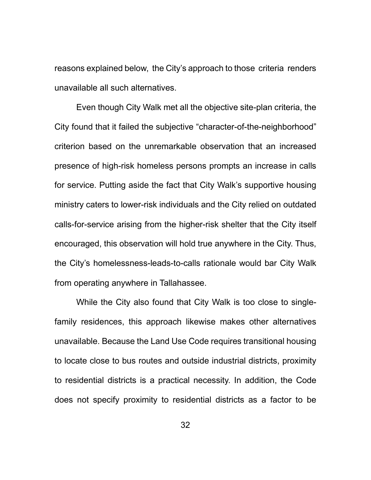reasons explained below, the City's approach to those criteria renders unavailable all such alternatives.

Even though City Walk met all the objective site-plan criteria, the City found that it failed the subjective "character-of-the-neighborhood" criterion based on the unremarkable observation that an increased presence of high-risk homeless persons prompts an increase in calls for service. Putting aside the fact that City Walk's supportive housing ministry caters to lower-risk individuals and the City relied on outdated calls-for-service arising from the higher-risk shelter that the City itself encouraged, this observation will hold true anywhere in the City. Thus, the City's homelessness-leads-to-calls rationale would bar City Walk from operating anywhere in Tallahassee.

While the City also found that City Walk is too close to singlefamily residences, this approach likewise makes other alternatives unavailable. Because the Land Use Code requires transitional housing to locate close to bus routes and outside industrial districts, proximity to residential districts is a practical necessity. In addition, the Code does not specify proximity to residential districts as a factor to be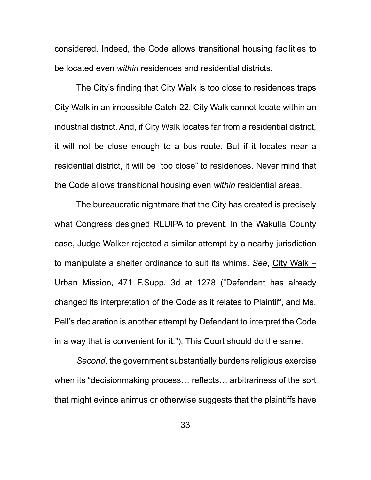considered. Indeed, the Code allows transitional housing facilities to be located even *within* residences and residential districts.

The City's finding that City Walk is too close to residences traps City Walk in an impossible Catch-22. City Walk cannot locate within an industrial district. And, if City Walk locates far from a residential district, it will not be close enough to a bus route. But if it locates near a residential district, it will be "too close" to residences. Never mind that the Code allows transitional housing even *within* residential areas.

The bureaucratic nightmare that the City has created is precisely what Congress designed RLUIPA to prevent. In the Wakulla County case, Judge Walker rejected a similar attempt by a nearby jurisdiction to manipulate a shelter ordinance to suit its whims. *See*, City Walk – Urban Mission, 471 F.Supp. 3d at 1278 ("Defendant has already changed its interpretation of the Code as it relates to Plaintiff, and Ms. Pell's declaration is another attempt by Defendant to interpret the Code in a way that is convenient for it."). This Court should do the same.

*Second*, the government substantially burdens religious exercise when its "decisionmaking process… reflects… arbitrariness of the sort that might evince animus or otherwise suggests that the plaintiffs have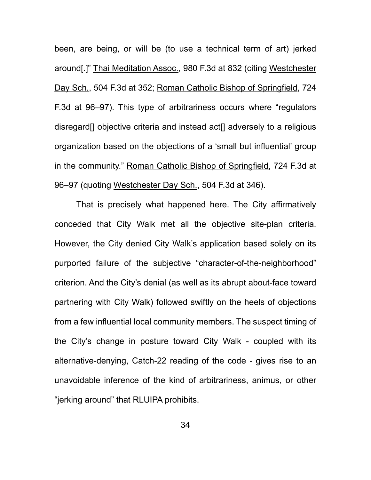been, are being, or will be (to use a technical term of art) jerked around[.]" Thai Meditation Assoc., 980 F.3d at 832 (citing Westchester Day Sch., 504 F.3d at 352; Roman Catholic Bishop of Springfield, 724 F.3d at 96–97). This type of arbitrariness occurs where "regulators disregard[] objective criteria and instead act[] adversely to a religious organization based on the objections of a 'small but influential' group in the community." Roman Catholic Bishop of Springfield, 724 F.3d at 96–97 (quoting Westchester Day Sch., 504 F.3d at 346).

That is precisely what happened here. The City affirmatively conceded that City Walk met all the objective site-plan criteria. However, the City denied City Walk's application based solely on its purported failure of the subjective "character-of-the-neighborhood" criterion. And the City's denial (as well as its abrupt about-face toward partnering with City Walk) followed swiftly on the heels of objections from a few influential local community members. The suspect timing of the City's change in posture toward City Walk - coupled with its alternative-denying, Catch-22 reading of the code - gives rise to an unavoidable inference of the kind of arbitrariness, animus, or other "jerking around" that RLUIPA prohibits.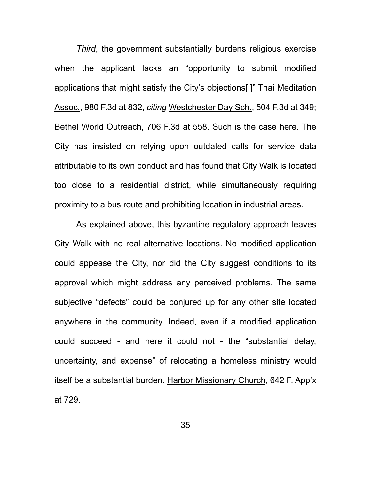*Third*, the government substantially burdens religious exercise when the applicant lacks an "opportunity to submit modified applications that might satisfy the City's objections[.]" Thai Meditation Assoc., 980 F.3d at 832, *citing* Westchester Day Sch., 504 F.3d at 349; Bethel World Outreach, 706 F.3d at 558. Such is the case here. The City has insisted on relying upon outdated calls for service data attributable to its own conduct and has found that City Walk is located too close to a residential district, while simultaneously requiring proximity to a bus route and prohibiting location in industrial areas.

As explained above, this byzantine regulatory approach leaves City Walk with no real alternative locations. No modified application could appease the City, nor did the City suggest conditions to its approval which might address any perceived problems. The same subjective "defects" could be conjured up for any other site located anywhere in the community. Indeed, even if a modified application could succeed - and here it could not - the "substantial delay, uncertainty, and expense" of relocating a homeless ministry would itself be a substantial burden. Harbor Missionary Church, 642 F. App'x at 729.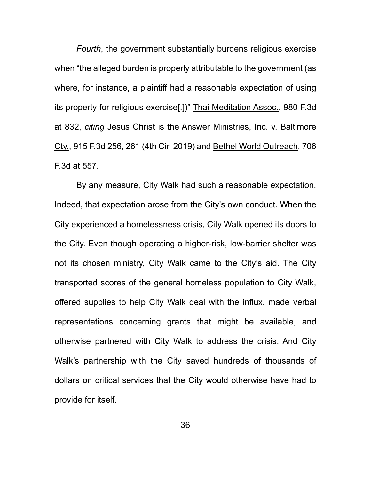*Fourth*, the government substantially burdens religious exercise when "the alleged burden is properly attributable to the government (as where, for instance, a plaintiff had a reasonable expectation of using its property for religious exercise[.])" Thai Meditation Assoc., 980 F.3d at 832, *citing* Jesus Christ is the Answer Ministries, Inc. v. Baltimore Cty., 915 F.3d 256, 261 (4th Cir. 2019) and Bethel World Outreach, 706 F.3d at 557.

By any measure, City Walk had such a reasonable expectation. Indeed, that expectation arose from the City's own conduct. When the City experienced a homelessness crisis, City Walk opened its doors to the City. Even though operating a higher-risk, low-barrier shelter was not its chosen ministry, City Walk came to the City's aid. The City transported scores of the general homeless population to City Walk, offered supplies to help City Walk deal with the influx, made verbal representations concerning grants that might be available, and otherwise partnered with City Walk to address the crisis. And City Walk's partnership with the City saved hundreds of thousands of dollars on critical services that the City would otherwise have had to provide for itself.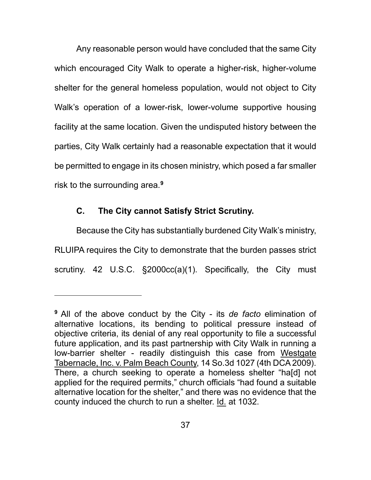Any reasonable person would have concluded that the same City which encouraged City Walk to operate a higher-risk, higher-volume shelter for the general homeless population, would not object to City Walk's operation of a lower-risk, lower-volume supportive housing facility at the same location. Given the undisputed history between the parties, City Walk certainly had a reasonable expectation that it would be permitted to engage in its chosen ministry, which posed a far smaller risk to the surrounding area. **[9](#page-55-0)**

## **C. The City cannot Satisfy Strict Scrutiny.**

Because the City has substantially burdened City Walk's ministry, RLUIPA requires the City to demonstrate that the burden passes strict scrutiny. 42 U.S.C. §2000cc(a)(1). Specifically, the City must

<span id="page-55-0"></span>**<sup>9</sup>** All of the above conduct by the City - its *de facto* elimination of alternative locations, its bending to political pressure instead of objective criteria, its denial of any real opportunity to file a successful future application, and its past partnership with City Walk in running a low-barrier shelter - readily distinguish this case from Westgate Tabernacle, Inc. v. Palm Beach County, 14 So.3d 1027 (4th DCA 2009). There, a church seeking to operate a homeless shelter "ha[d] not applied for the required permits," church officials "had found a suitable alternative location for the shelter," and there was no evidence that the county induced the church to run a shelter. Id. at 1032.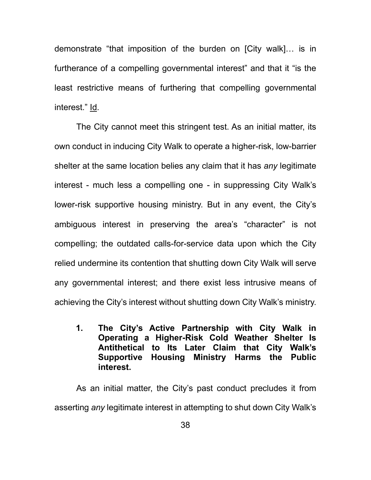demonstrate "that imposition of the burden on [City walk]… is in furtherance of a compelling governmental interest" and that it "is the least restrictive means of furthering that compelling governmental interest." Id.

The City cannot meet this stringent test. As an initial matter, its own conduct in inducing City Walk to operate a higher-risk, low-barrier shelter at the same location belies any claim that it has *any* legitimate interest - much less a compelling one - in suppressing City Walk's lower-risk supportive housing ministry. But in any event, the City's ambiguous interest in preserving the area's "character" is not compelling; the outdated calls-for-service data upon which the City relied undermine its contention that shutting down City Walk will serve any governmental interest; and there exist less intrusive means of achieving the City's interest without shutting down City Walk's ministry.

**1. The City's Active Partnership with City Walk in Operating a Higher-Risk Cold Weather Shelter Is Antithetical to Its Later Claim that City Walk's Supportive Housing Ministry Harms the Public interest.**

As an initial matter, the City's past conduct precludes it from asserting *any* legitimate interest in attempting to shut down City Walk's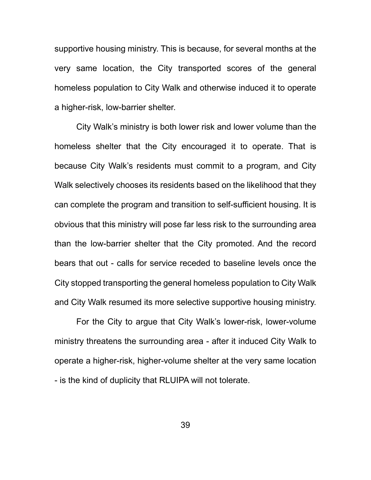supportive housing ministry. This is because, for several months at the very same location, the City transported scores of the general homeless population to City Walk and otherwise induced it to operate a higher-risk, low-barrier shelter.

City Walk's ministry is both lower risk and lower volume than the homeless shelter that the City encouraged it to operate. That is because City Walk's residents must commit to a program, and City Walk selectively chooses its residents based on the likelihood that they can complete the program and transition to self-sufficient housing. It is obvious that this ministry will pose far less risk to the surrounding area than the low-barrier shelter that the City promoted. And the record bears that out - calls for service receded to baseline levels once the City stopped transporting the general homeless population to City Walk and City Walk resumed its more selective supportive housing ministry.

For the City to argue that City Walk's lower-risk, lower-volume ministry threatens the surrounding area - after it induced City Walk to operate a higher-risk, higher-volume shelter at the very same location - is the kind of duplicity that RLUIPA will not tolerate.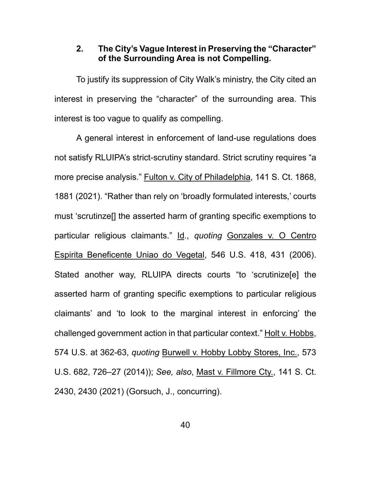### **2. The City's Vague Interest in Preserving the "Character" of the Surrounding Area is not Compelling.**

To justify its suppression of City Walk's ministry, the City cited an interest in preserving the "character" of the surrounding area. This interest is too vague to qualify as compelling.

A general interest in enforcement of land-use regulations does not satisfy RLUIPA's strict-scrutiny standard. Strict scrutiny requires "a more precise analysis." Fulton v. City of Philadelphia, 141 S. Ct. 1868, 1881 (2021). "Rather than rely on 'broadly formulated interests,' courts must 'scrutinze[] the asserted harm of granting specific exemptions to particular religious claimants." Id., *quoting* Gonzales v. O Centro Espirita Beneficente Uniao do Vegetal, 546 U.S. 418, 431 (2006). Stated another way, RLUIPA directs courts "to 'scrutinize[e] the asserted harm of granting specific exemptions to particular religious claimants' and 'to look to the marginal interest in enforcing' the challenged government action in that particular context." Holt v. Hobbs, 574 U.S. at 362-63, *quoting* Burwell v. Hobby Lobby Stores, Inc., 573 U.S. 682, 726–27 (2014)); *See, also*, Mast v. Fillmore Cty., 141 S. Ct. 2430, 2430 (2021) (Gorsuch, J., concurring).

40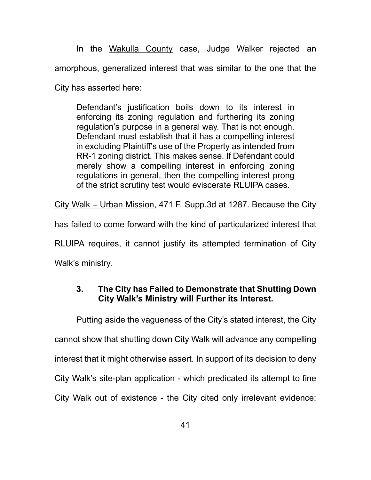In the Wakulla County case, Judge Walker rejected an amorphous, generalized interest that was similar to the one that the City has asserted here:

Defendant's justification boils down to its interest in enforcing its zoning regulation and furthering its zoning regulation's purpose in a general way. That is not enough. Defendant must establish that it has a compelling interest in excluding Plaintiff's use of the Property as intended from RR-1 zoning district. This makes sense. If Defendant could merely show a compelling interest in enforcing zoning regulations in general, then the compelling interest prong of the strict scrutiny test would eviscerate RLUIPA cases.

City Walk – Urban Mission, 471 F. Supp.3d at 1287. Because the City

has failed to come forward with the kind of particularized interest that

RLUIPA requires, it cannot justify its attempted termination of City

Walk's ministry.

## **3. The City has Failed to Demonstrate that Shutting Down City Walk's Ministry will Further its Interest.**

Putting aside the vagueness of the City's stated interest, the City cannot show that shutting down City Walk will advance any compelling interest that it might otherwise assert. In support of its decision to deny City Walk's site-plan application - which predicated its attempt to fine City Walk out of existence - the City cited only irrelevant evidence: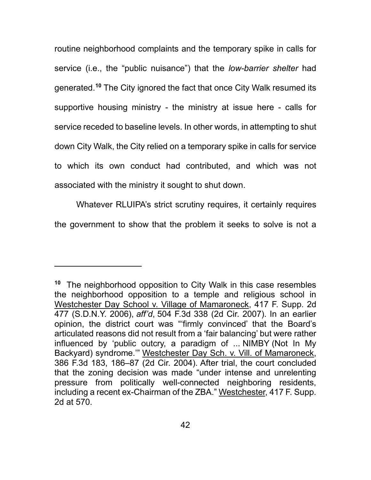routine neighborhood complaints and the temporary spike in calls for service (i.e., the "public nuisance") that the *low-barrier shelter* had generated. **[10](#page-60-0)** The City ignored the fact that once City Walk resumed its supportive housing ministry - the ministry at issue here - calls for service receded to baseline levels. In other words, in attempting to shut down City Walk, the City relied on a temporary spike in calls for service to which its own conduct had contributed, and which was not associated with the ministry it sought to shut down.

Whatever RLUIPA's strict scrutiny requires, it certainly requires the government to show that the problem it seeks to solve is not a

<span id="page-60-0"></span>**<sup>10</sup>** The neighborhood opposition to City Walk in this case resembles the neighborhood opposition to a temple and religious school in Westchester Day School v. Village of Mamaroneck, 417 F. Supp. 2d 477 (S.D.N.Y. 2006), *aff'd*, 504 F.3d 338 (2d Cir. 2007). In an earlier opinion, the district court was "'firmly convinced' that the Board's articulated reasons did not result from a 'fair balancing' but were rather influenced by 'public outcry, a paradigm of ... NIMBY (Not In My Backyard) syndrome.'" Westchester Day Sch. v. Vill. of Mamaroneck, 386 F.3d 183, 186–87 (2d Cir. 2004). After trial, the court concluded that the zoning decision was made "under intense and unrelenting pressure from politically well-connected neighboring residents, including a recent ex-Chairman of the ZBA." Westchester, 417 F. Supp. 2d at 570.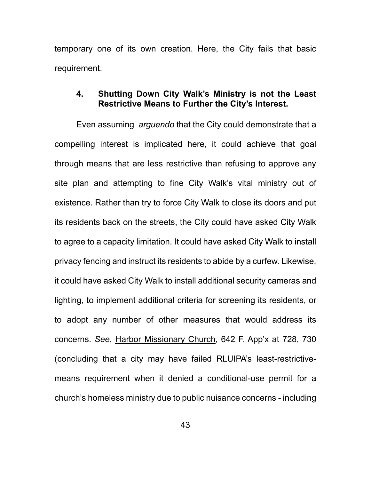temporary one of its own creation. Here, the City fails that basic requirement.

#### **4. Shutting Down City Walk's Ministry is not the Least Restrictive Means to Further the City's Interest.**

Even assuming *arguendo* that the City could demonstrate that a compelling interest is implicated here, it could achieve that goal through means that are less restrictive than refusing to approve any site plan and attempting to fine City Walk's vital ministry out of existence. Rather than try to force City Walk to close its doors and put its residents back on the streets, the City could have asked City Walk to agree to a capacity limitation. It could have asked City Walk to install privacy fencing and instruct its residents to abide by a curfew. Likewise, it could have asked City Walk to install additional security cameras and lighting, to implement additional criteria for screening its residents, or to adopt any number of other measures that would address its concerns. *See*, Harbor Missionary Church, 642 F. App'x at 728, 730 (concluding that a city may have failed RLUIPA's least-restrictivemeans requirement when it denied a conditional-use permit for a church's homeless ministry due to public nuisance concerns - including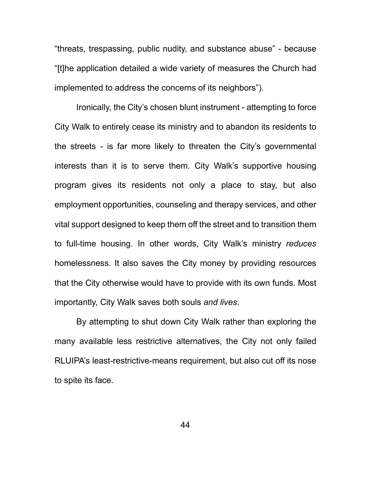"threats, trespassing, public nudity, and substance abuse" - because "[t]he application detailed a wide variety of measures the Church had implemented to address the concerns of its neighbors").

Ironically, the City's chosen blunt instrument - attempting to force City Walk to entirely cease its ministry and to abandon its residents to the streets - is far more likely to threaten the City's governmental interests than it is to serve them. City Walk's supportive housing program gives its residents not only a place to stay, but also employment opportunities, counseling and therapy services, and other vital support designed to keep them off the street and to transition them to full-time housing. In other words, City Walk's ministry *reduces* homelessness. It also saves the City money by providing resources that the City otherwise would have to provide with its own funds. Most importantly, City Walk saves both souls *and lives*.

By attempting to shut down City Walk rather than exploring the many available less restrictive alternatives, the City not only failed RLUIPA's least-restrictive-means requirement, but also cut off its nose to spite its face.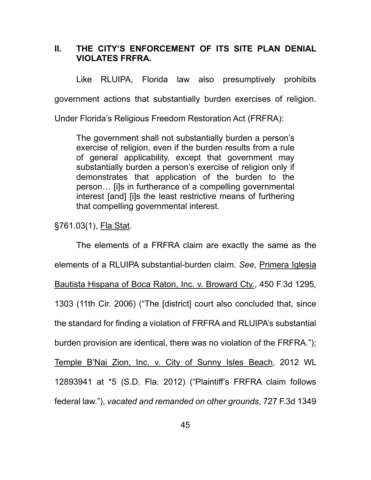### **II. THE CITY'S ENFORCEMENT OF ITS SITE PLAN DENIAL VIOLATES FRFRA.**

Like RLUIPA, Florida law also presumptively prohibits

government actions that substantially burden exercises of religion.

Under Florida's Religious Freedom Restoration Act (FRFRA):

The government shall not substantially burden a person's exercise of religion, even if the burden results from a rule of general applicability, except that government may substantially burden a person's exercise of religion only if demonstrates that application of the burden to the person… [i]s in furtherance of a compelling governmental interest [and] [i]s the least restrictive means of furthering that compelling governmental interest.

### §761.03(1), Fla.Stat.

The elements of a FRFRA claim are exactly the same as the elements of a RLUIPA substantial-burden claim. *See*, Primera Iglesia Bautista Hispana of Boca Raton, Inc. v. Broward Cty., 450 F.3d 1295, 1303 (11th Cir. 2006) ("The [district] court also concluded that, since the standard for finding a violation of FRFRA and RLUIPA's substantial burden provision are identical, there was no violation of the FRFRA."); Temple B'Nai Zion, Inc. v. City of Sunny Isles Beach, 2012 WL 12893941 at \*5 (S.D. Fla. 2012) ("Plaintiff's FRFRA claim follows federal law."), *vacated and remanded on other grounds*, 727 F.3d 1349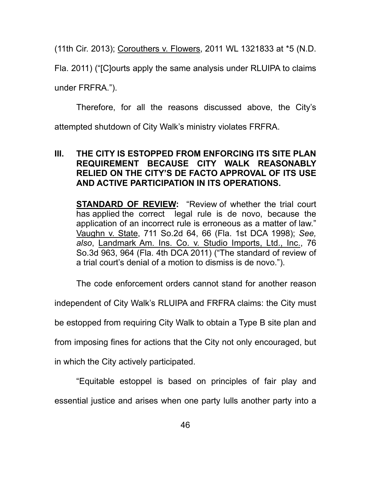(11th Cir. 2013); Corouthers v. Flowers, 2011 WL 1321833 at \*5 (N.D.

Fla. 2011) ("[C]ourts apply the same analysis under RLUIPA to claims under FRFRA.").

Therefore, for all the reasons discussed above, the City's attempted shutdown of City Walk's ministry violates FRFRA.

## **III. THE CITY IS ESTOPPED FROM ENFORCING ITS SITE PLAN REQUIREMENT BECAUSE CITY WALK REASONABLY RELIED ON THE CITY'S DE FACTO APPROVAL OF ITS USE AND ACTIVE PARTICIPATION IN ITS OPERATIONS.**

**STANDARD OF REVIEW:** "Review of whether the trial court has applied the correct legal rule is de novo, because the application of an incorrect rule is erroneous as a matter of law." Vaughn v. State, 711 So.2d 64, 66 (Fla. 1st DCA 1998); *See, also*, Landmark Am. Ins. Co. v. Studio Imports, Ltd., Inc., 76 So.3d 963, 964 (Fla. 4th DCA 2011) ("The standard of review of a trial court's denial of a motion to dismiss is de novo.").

The code enforcement orders cannot stand for another reason

independent of City Walk's RLUIPA and FRFRA claims: the City must

be estopped from requiring City Walk to obtain a Type B site plan and

from imposing fines for actions that the City not only encouraged, but

in which the City actively participated.

"Equitable estoppel is based on principles of fair play and essential justice and arises when one party lulls another party into a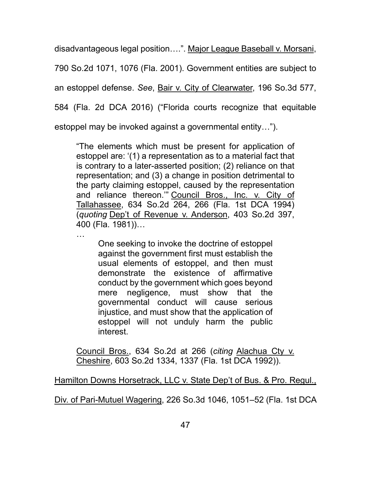disadvantageous legal position….". Major League Baseball v. Morsani, 790 So.2d 1071, 1076 (Fla. 2001). Government entities are subject to an estoppel defense. *See*, Bair v. City of Clearwater, 196 So.3d 577, 584 (Fla. 2d DCA 2016) ("Florida courts recognize that equitable estoppel may be invoked against a governmental entity…").

"The elements which must be present for application of estoppel are: '(1) a representation as to a material fact that is contrary to a later-asserted position; (2) reliance on that representation; and (3) a change in position detrimental to the party claiming estoppel, caused by the representation and reliance thereon."" Council Bros., Inc. v. City of Tallahassee, 634 So.2d 264, 266 (Fla. 1st DCA 1994) (*quoting* Dep't of Revenue v. Anderson, 403 So.2d 397, 400 (Fla. 1981))…

…

One seeking to invoke the doctrine of estoppel against the government first must establish the usual elements of estoppel, and then must demonstrate the existence of affirmative conduct by the government which goes beyond mere negligence, must show that the governmental conduct will cause serious injustice, and must show that the application of estoppel will not unduly harm the public interest.

Council Bros., 634 So.2d at 266 (*citing* Alachua Cty v. Cheshire, 603 So.2d 1334, 1337 (Fla. 1st DCA 1992)).

Hamilton Downs Horsetrack, LLC v. State Dep't of Bus. & Pro. Regul.,

Div. of Pari-Mutuel Wagering, 226 So.3d 1046, 1051–52 (Fla. 1st DCA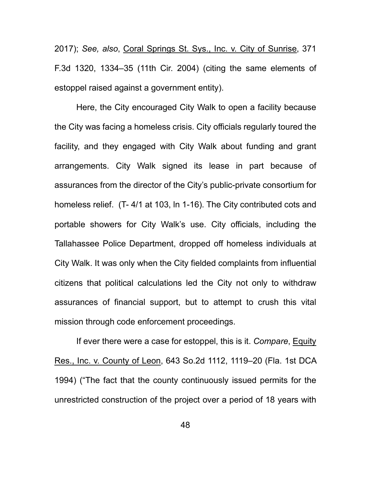2017); *See, also*, Coral Springs St. Sys., Inc. v. City of Sunrise, 371 F.3d 1320, 1334–35 (11th Cir. 2004) (citing the same elements of estoppel raised against a government entity).

Here, the City encouraged City Walk to open a facility because the City was facing a homeless crisis. City officials regularly toured the facility, and they engaged with City Walk about funding and grant arrangements. City Walk signed its lease in part because of assurances from the director of the City's public-private consortium for homeless relief. (T- 4/1 at 103, ln 1-16). The City contributed cots and portable showers for City Walk's use. City officials, including the Tallahassee Police Department, dropped off homeless individuals at City Walk. It was only when the City fielded complaints from influential citizens that political calculations led the City not only to withdraw assurances of financial support, but to attempt to crush this vital mission through code enforcement proceedings.

If ever there were a case for estoppel, this is it. *Compare*, Equity Res., Inc. v. County of Leon, 643 So.2d 1112, 1119–20 (Fla. 1st DCA 1994) ("The fact that the county continuously issued permits for the unrestricted construction of the project over a period of 18 years with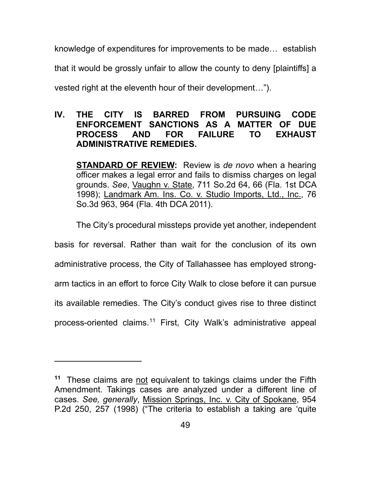knowledge of expenditures for improvements to be made… establish that it would be grossly unfair to allow the county to deny [plaintiffs] a vested right at the eleventh hour of their development…").

# **IV. THE CITY IS BARRED FROM PURSUING CODE ENFORCEMENT SANCTIONS AS A MATTER OF DUE PROCESS AND FOR FAILURE TO EXHAUST ADMINISTRATIVE REMEDIES.**

**STANDARD OF REVIEW:** Review is *de novo* when a hearing officer makes a legal error and fails to dismiss charges on legal grounds. *See*, Vaughn v. State, 711 So.2d 64, 66 (Fla. 1st DCA 1998); Landmark Am. Ins. Co. v. Studio Imports, Ltd., Inc., 76 So.3d 963, 964 (Fla. 4th DCA 2011).

The City's procedural missteps provide yet another, independent basis for reversal. Rather than wait for the conclusion of its own administrative process, the City of Tallahassee has employed strongarm tactics in an effort to force City Walk to close before it can pursue its available remedies. The City's conduct gives rise to three distinct process-oriented claims.<sup>11</sup> First, City Walk's administrative appeal

<span id="page-67-0"></span>**<sup>11</sup>** These claims are not equivalent to takings claims under the Fifth Amendment. Takings cases are analyzed under a different line of cases. *See, generally*, Mission Springs, Inc. v. City of Spokane, 954 P.2d 250, 257 (1998) ("The criteria to establish a taking are 'quite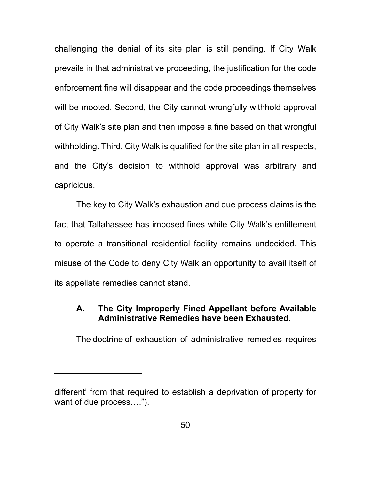challenging the denial of its site plan is still pending. If City Walk prevails in that administrative proceeding, the justification for the code enforcement fine will disappear and the code proceedings themselves will be mooted. Second, the City cannot wrongfully withhold approval of City Walk's site plan and then impose a fine based on that wrongful withholding. Third, City Walk is qualified for the site plan in all respects, and the City's decision to withhold approval was arbitrary and capricious.

The key to City Walk's exhaustion and due process claims is the fact that Tallahassee has imposed fines while City Walk's entitlement to operate a transitional residential facility remains undecided. This misuse of the Code to deny City Walk an opportunity to avail itself of its appellate remedies cannot stand.

## **A. The City Improperly Fined Appellant before Available Administrative Remedies have been Exhausted.**

The doctrine of exhaustion of administrative remedies requires

different' from that required to establish a deprivation of property for want of due process….").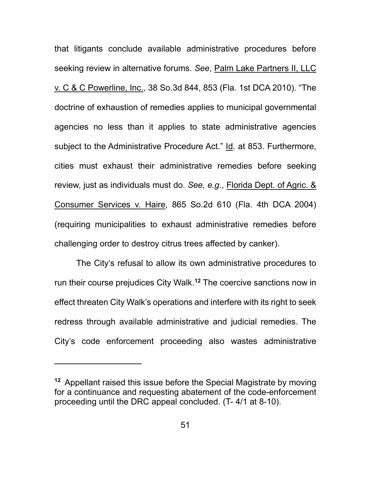that litigants conclude available administrative procedures before seeking review in alternative forums. *See*, Palm Lake Partners II, LLC v. C & C Powerline, Inc., 38 So.3d 844, 853 (Fla. 1st DCA 2010). "The doctrine of exhaustion of remedies applies to municipal governmental agencies no less than it applies to state administrative agencies subject to the Administrative Procedure Act." Id. at 853. Furthermore, cities must exhaust their administrative remedies before seeking review, just as individuals must do. *See, e.g.*, Florida Dept. of Agric. & Consumer Services v. Haire, 865 So.2d 610 (Fla. 4th DCA 2004) (requiring municipalities to exhaust administrative remedies before challenging order to destroy citrus trees affected by canker).

The City's refusal to allow its own administrative procedures to run their course prejudices City Walk. **[12](#page-69-0)** The coercive sanctions now in effect threaten City Walk's operations and interfere with its right to seek redress through available administrative and judicial remedies. The City's code enforcement proceeding also wastes administrative

<span id="page-69-0"></span>**<sup>12</sup>** Appellant raised this issue before the Special Magistrate by moving for a continuance and requesting abatement of the code-enforcement proceeding until the DRC appeal concluded. (T- 4/1 at 8-10).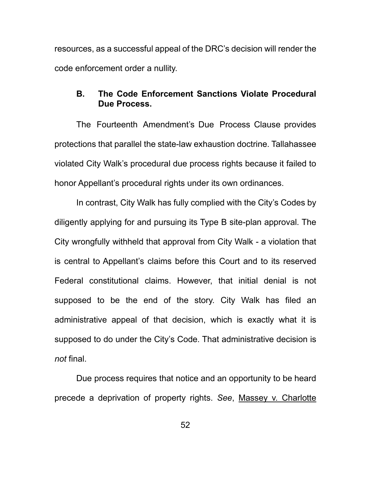resources, as a successful appeal of the DRC's decision will render the code enforcement order a nullity.

### **B. The Code Enforcement Sanctions Violate Procedural Due Process.**

 The Fourteenth Amendment's Due Process Clause provides protections that parallel the state-law exhaustion doctrine. Tallahassee violated City Walk's procedural due process rights because it failed to honor Appellant's procedural rights under its own ordinances.

In contrast, City Walk has fully complied with the City's Codes by diligently applying for and pursuing its Type B site-plan approval. The City wrongfully withheld that approval from City Walk - a violation that is central to Appellant's claims before this Court and to its reserved Federal constitutional claims. However, that initial denial is not supposed to be the end of the story. City Walk has filed an administrative appeal of that decision, which is exactly what it is supposed to do under the City's Code. That administrative decision is *not* final.

Due process requires that notice and an opportunity to be heard precede a deprivation of property rights. *See*, Massey v. Charlotte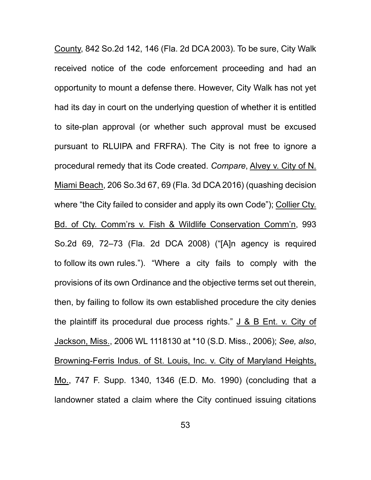County, 842 So.2d 142, 146 (Fla. 2d DCA 2003). To be sure, City Walk received notice of the code enforcement proceeding and had an opportunity to mount a defense there. However, City Walk has not yet had its day in court on the underlying question of whether it is entitled to site-plan approval (or whether such approval must be excused pursuant to RLUIPA and FRFRA). The City is not free to ignore a procedural remedy that its Code created. *Compare*, Alvey v. City of N. Miami Beach, 206 So.3d 67, 69 (Fla. 3d DCA 2016) (quashing decision where "the City failed to consider and apply its own Code"); Collier Cty. Bd. of Cty. Comm'rs v. Fish & Wildlife Conservation Comm'n, 993 So.2d 69, 72–73 (Fla. 2d DCA 2008) ("[A]n agency is required to follow its own rules."). "Where a city fails to comply with the provisions of its own Ordinance and the objective terms set out therein, then, by failing to follow its own established procedure the city denies the plaintiff its procedural due process rights." J & B Ent. v. City of Jackson, Miss., 2006 WL 1118130 at \*10 (S.D. Miss., 2006); *See, also*, Browning-Ferris Indus. of St. Louis, Inc. v. City of Maryland Heights, Mo., 747 F. Supp. 1340, 1346 (E.D. Mo. 1990) (concluding that a landowner stated a claim where the City continued issuing citations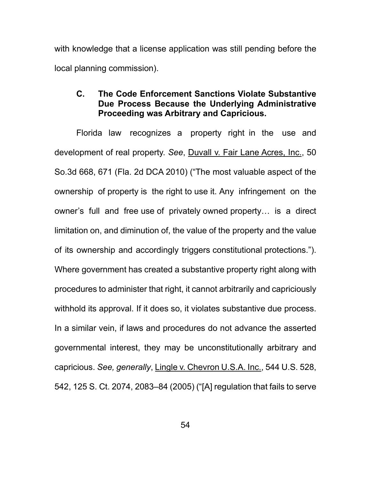with knowledge that a license application was still pending before the local planning commission).

## **C. The Code Enforcement Sanctions Violate Substantive Due Process Because the Underlying Administrative Proceeding was Arbitrary and Capricious.**

 Florida law recognizes a property right in the use and development of real property. *See*, Duvall v. Fair Lane Acres, Inc., 50 So.3d 668, 671 (Fla. 2d DCA 2010) ("The most valuable aspect of the ownership of property is the right to use it. Any infringement on the owner's full and free use of privately owned property… is a direct limitation on, and diminution of, the value of the property and the value of its ownership and accordingly triggers constitutional protections."). Where government has created a substantive property right along with procedures to administer that right, it cannot arbitrarily and capriciously withhold its approval. If it does so, it violates substantive due process. In a similar vein, if laws and procedures do not advance the asserted governmental interest, they may be unconstitutionally arbitrary and capricious. *See, generally*, Lingle v. Chevron U.S.A. Inc., 544 U.S. 528, 542, 125 S. Ct. 2074, 2083–84 (2005) ("[A] regulation that fails to serve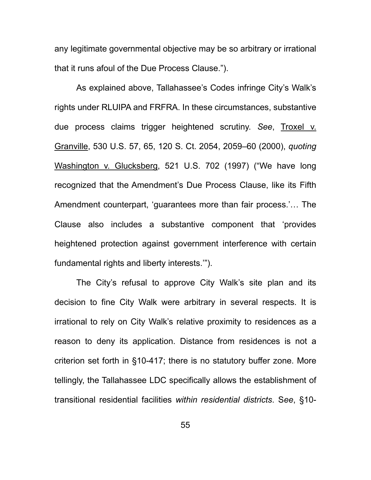any legitimate governmental objective may be so arbitrary or irrational that it runs afoul of the Due Process Clause.").

As explained above, Tallahassee's Codes infringe City's Walk's rights under RLUIPA and FRFRA. In these circumstances, substantive due process claims trigger heightened scrutiny. *See*, Troxel v. Granville, 530 U.S. 57, 65, 120 S. Ct. 2054, 2059–60 (2000), *quoting* Washington v. Glucksberg, 521 U.S. 702 (1997) ("We have long recognized that the Amendment's Due Process Clause, like its Fifth Amendment counterpart, 'guarantees more than fair process.'… The Clause also includes a substantive component that 'provides heightened protection against government interference with certain fundamental rights and liberty interests.'").

The City's refusal to approve City Walk's site plan and its decision to fine City Walk were arbitrary in several respects. It is irrational to rely on City Walk's relative proximity to residences as a reason to deny its application. Distance from residences is not a criterion set forth in §10-417; there is no statutory buffer zone. More tellingly, the Tallahassee LDC specifically allows the establishment of transitional residential facilities *within residential districts*. S*ee*, §10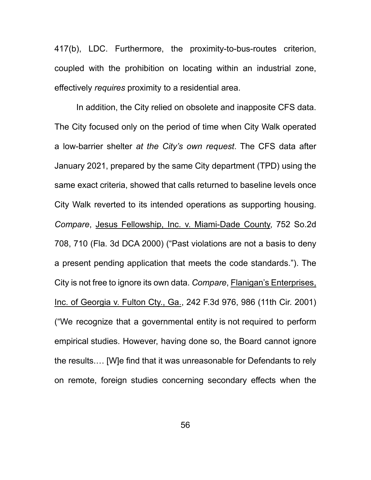417(b), LDC. Furthermore, the proximity-to-bus-routes criterion, coupled with the prohibition on locating within an industrial zone, effectively *requires* proximity to a residential area.

In addition, the City relied on obsolete and inapposite CFS data. The City focused only on the period of time when City Walk operated a low-barrier shelter *at the City's own request*. The CFS data after January 2021, prepared by the same City department (TPD) using the same exact criteria, showed that calls returned to baseline levels once City Walk reverted to its intended operations as supporting housing. *Compare*, Jesus Fellowship, Inc. v. Miami-Dade County, 752 So.2d 708, 710 (Fla. 3d DCA 2000) ("Past violations are not a basis to deny a present pending application that meets the code standards."). The City is not free to ignore its own data. *Compare*, Flanigan's Enterprises, Inc. of Georgia v. Fulton Cty., Ga., 242 F.3d 976, 986 (11th Cir. 2001) ("We recognize that a governmental entity is not required to perform empirical studies. However, having done so, the Board cannot ignore the results.… [W]e find that it was unreasonable for Defendants to rely on remote, foreign studies concerning secondary effects when the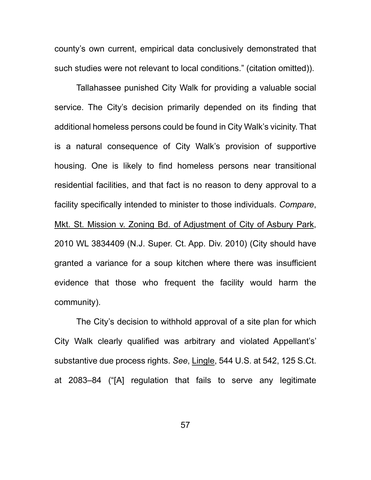county's own current, empirical data conclusively demonstrated that such studies were not relevant to local conditions." (citation omitted)).

 Tallahassee punished City Walk for providing a valuable social service. The City's decision primarily depended on its finding that additional homeless persons could be found in City Walk's vicinity. That is a natural consequence of City Walk's provision of supportive housing. One is likely to find homeless persons near transitional residential facilities, and that fact is no reason to deny approval to a facility specifically intended to minister to those individuals. *Compare*, Mkt. St. Mission v. Zoning Bd. of Adjustment of City of Asbury Park, 2010 WL 3834409 (N.J. Super. Ct. App. Div. 2010) (City should have granted a variance for a soup kitchen where there was insufficient evidence that those who frequent the facility would harm the community).

The City's decision to withhold approval of a site plan for which City Walk clearly qualified was arbitrary and violated Appellant's' substantive due process rights. *See*, Lingle, 544 U.S. at 542, 125 S.Ct. at 2083–84 ("[A] regulation that fails to serve any legitimate

57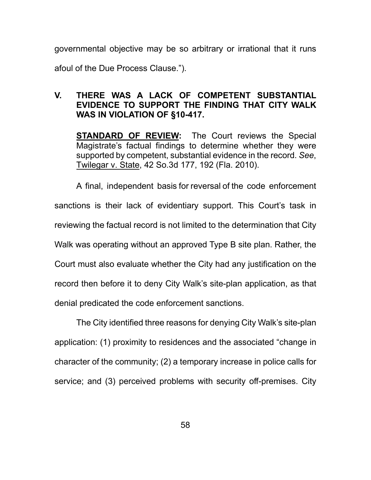governmental objective may be so arbitrary or irrational that it runs afoul of the Due Process Clause.").

### **V. THERE WAS A LACK OF COMPETENT SUBSTANTIAL EVIDENCE TO SUPPORT THE FINDING THAT CITY WALK WAS IN VIOLATION OF §10-417.**

**STANDARD OF REVIEW:** The Court reviews the Special Magistrate's factual findings to determine whether they were supported by competent, substantial evidence in the record. *See*, Twilegar v. State, 42 So.3d 177, 192 (Fla. 2010).

 A final, independent basis for reversal of the code enforcement sanctions is their lack of evidentiary support. This Court's task in reviewing the factual record is not limited to the determination that City Walk was operating without an approved Type B site plan. Rather, the Court must also evaluate whether the City had any justification on the record then before it to deny City Walk's site-plan application, as that denial predicated the code enforcement sanctions.

The City identified three reasons for denying City Walk's site-plan application: (1) proximity to residences and the associated "change in character of the community; (2) a temporary increase in police calls for service; and (3) perceived problems with security off-premises. City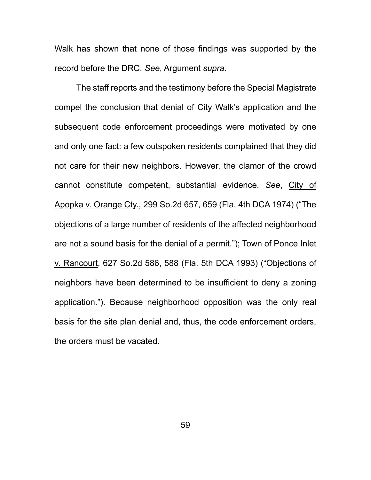Walk has shown that none of those findings was supported by the record before the DRC. *See*, Argument *supra*.

 The staff reports and the testimony before the Special Magistrate compel the conclusion that denial of City Walk's application and the subsequent code enforcement proceedings were motivated by one and only one fact: a few outspoken residents complained that they did not care for their new neighbors. However, the clamor of the crowd cannot constitute competent, substantial evidence. *See*, City of Apopka v. Orange Cty., 299 So.2d 657, 659 (Fla. 4th DCA 1974) ("The objections of a large number of residents of the affected neighborhood are not a sound basis for the denial of a permit."); Town of Ponce Inlet v. Rancourt, 627 So.2d 586, 588 (Fla. 5th DCA 1993) ("Objections of neighbors have been determined to be insufficient to deny a zoning application."). Because neighborhood opposition was the only real basis for the site plan denial and, thus, the code enforcement orders, the orders must be vacated.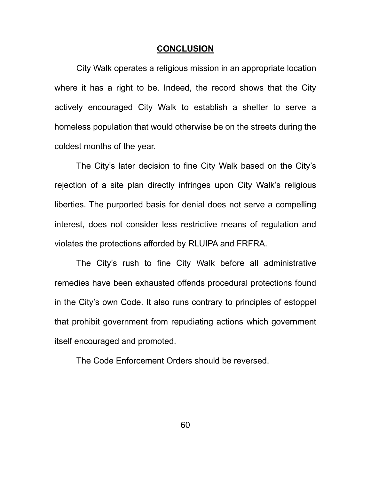#### **CONCLUSION**

City Walk operates a religious mission in an appropriate location where it has a right to be. Indeed, the record shows that the City actively encouraged City Walk to establish a shelter to serve a homeless population that would otherwise be on the streets during the coldest months of the year.

 The City's later decision to fine City Walk based on the City's rejection of a site plan directly infringes upon City Walk's religious liberties. The purported basis for denial does not serve a compelling interest, does not consider less restrictive means of regulation and violates the protections afforded by RLUIPA and FRFRA.

The City's rush to fine City Walk before all administrative remedies have been exhausted offends procedural protections found in the City's own Code. It also runs contrary to principles of estoppel that prohibit government from repudiating actions which government itself encouraged and promoted.

The Code Enforcement Orders should be reversed.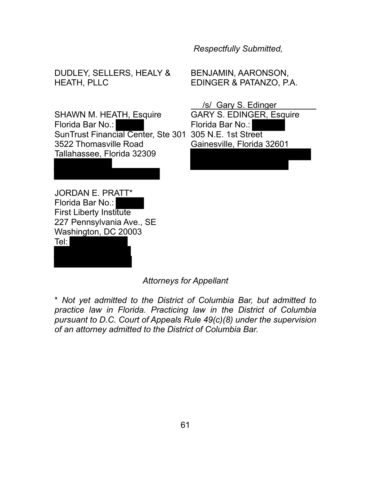DUDLEY, SELLERS, HEALY & BENJAMIN, AARONSON, HEATH, PLLC EDINGER & PATANZO, P.A.

SHAWN M. HEATH, Esquire GARY S. EDINGER, Esquire Florida Bar No.: Florida Bar No.: SunTrust Financial Center, Ste 301 305 N.E. 1st Street 3522 Thomasville Road Gainesville, Florida 32601 Tallahassee, Florida 32309 

*Respectfully Submitted,*

/s/ Gary S. Edinger

JORDAN E. PRATT\* Florida Bar No.: First Liberty Institute 227 Pennsylvania Ave., SE Washington, DC 20003 Tel:

*Attorneys for Appellant*

\* *Not yet admitted to the District of Columbia Bar, but admitted to practice law in Florida. Practicing law in the District of Columbia pursuant to D.C. Court of Appeals Rule 49(c)(8) under the supervision of an attorney admitted to the District of Columbia Bar.*